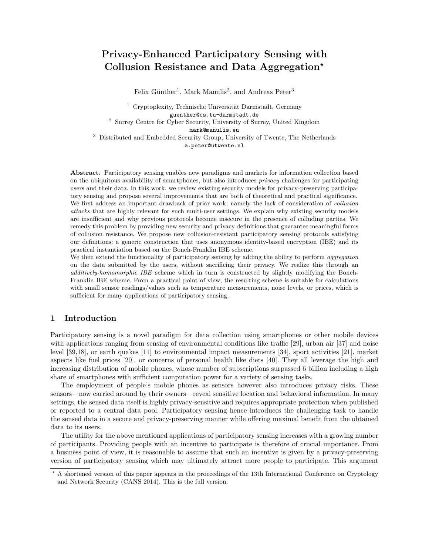# Privacy-Enhanced Participatory Sensing with Collusion Resistance and Data Aggregation?

Felix Günther<sup>1</sup>, Mark Manulis<sup>2</sup>, and Andreas Peter<sup>3</sup>

 $1$  Cryptoplexity, Technische Universität Darmstadt, Germany guenther@cs.tu-darmstadt.de <sup>2</sup> Surrey Centre for Cyber Security, University of Surrey, United Kingdom mark@manulis.eu <sup>3</sup> Distributed and Embedded Security Group, University of Twente, The Netherlands

a.peter@utwente.nl

Abstract. Participatory sensing enables new paradigms and markets for information collection based on the ubiquitous availability of smartphones, but also introduces privacy challenges for participating users and their data. In this work, we review existing security models for privacy-preserving participatory sensing and propose several improvements that are both of theoretical and practical significance. We first address an important drawback of prior work, namely the lack of consideration of *collusion* attacks that are highly relevant for such multi-user settings. We explain why existing security models are insufficient and why previous protocols become insecure in the presence of colluding parties. We remedy this problem by providing new security and privacy definitions that guarantee meaningful forms of collusion resistance. We propose new collusion-resistant participatory sensing protocols satisfying our definitions: a generic construction that uses anonymous identity-based encryption (IBE) and its practical instantiation based on the Boneh-Franklin IBE scheme.

We then extend the functionality of participatory sensing by adding the ability to perform *aggregation* on the data submitted by the users, without sacrificing their privacy. We realize this through an additively-homomorphic IBE scheme which in turn is constructed by slightly modifying the Boneh-Franklin IBE scheme. From a practical point of view, the resulting scheme is suitable for calculations with small sensor readings/values such as temperature measurements, noise levels, or prices, which is sufficient for many applications of participatory sensing.

# 1 Introduction

Participatory sensing is a novel paradigm for data collection using smartphones or other mobile devices with applications ranging from sensing of environmental conditions like traffic [\[29\]](#page-18-0), urban air [\[37\]](#page-19-0) and noise level [\[39,](#page-19-1)[18\]](#page-18-1), or earth quakes [\[11\]](#page-18-2) to environmental impact measurements [\[34\]](#page-19-2), sport activities [\[21\]](#page-18-3), market aspects like fuel prices [\[20\]](#page-18-4), or concerns of personal health like diets [\[40\]](#page-19-3). They all leverage the high and increasing distribution of mobile phones, whose number of subscriptions surpassed 6 billion including a high share of smartphones with sufficient computation power for a variety of sensing tasks.

The employment of people's mobile phones as sensors however also introduces privacy risks. These sensors—now carried around by their owners—reveal sensitive location and behavioral information. In many settings, the sensed data itself is highly privacy-sensitive and requires appropriate protection when published or reported to a central data pool. Participatory sensing hence introduces the challenging task to handle the sensed data in a secure and privacy-preserving manner while offering maximal benefit from the obtained data to its users.

The utility for the above mentioned applications of participatory sensing increases with a growing number of participants. Providing people with an incentive to participate is therefore of crucial importance. From a business point of view, it is reasonable to assume that such an incentive is given by a privacy-preserving version of participatory sensing which may ultimately attract more people to participate. This argument

<sup>?</sup> A shortened version of this paper appears in the proceedings of the 13th International Conference on Cryptology and Network Security (CANS 2014). This is the full version.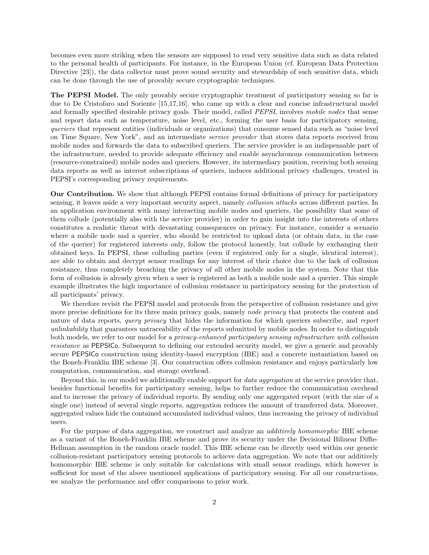becomes even more striking when the sensors are supposed to read very sensitive data such as data related to the personal health of participants. For instance, in the European Union (cf. European Data Protection Directive [\[23\]](#page-18-5)), the data collector must prove sound security and stewardship of such sensitive data, which can be done through the use of provably secure cryptographic techniques.

The PEPSI Model. The only provably secure cryptographic treatment of participatory sensing so far is due to De Cristofaro and Soriente [\[15,](#page-18-6)[17,](#page-18-7)[16\]](#page-18-8), who came up with a clear and concise infrastructural model and formally specified desirable privacy goals. Their model, called PEPSI, involves mobile nodes that sense and report data such as temperature, noise level, etc., forming the user basis for participatory sensing, queriers that represent entities (individuals or organizations) that consume sensed data such as "noise level on Time Square, New York", and an intermediate service provider that stores data reports received from mobile nodes and forwards the data to subscribed queriers. The service provider is an indispensable part of the infrastructure, needed to provide adequate efficiency and enable asynchronous communication between (resource-constrained) mobile nodes and queriers. However, its intermediary position, receiving both sensing data reports as well as interest subscriptions of queriers, induces additional privacy challenges, treated in PEPSI's corresponding privacy requirements.

Our Contribution. We show that although PEPSI contains formal definitions of privacy for participatory sensing, it leaves aside a very important security aspect, namely *collusion attacks* across different parties. In an application environment with many interacting mobile nodes and queriers, the possibility that some of them collude (potentially also with the service provider) in order to gain insight into the interests of others constitutes a realistic threat with devastating consequences on privacy. For instance, consider a scenario where a mobile node and a querier, who should be restricted to upload data (or obtain data, in the case of the querier) for registered interests only, follow the protocol honestly, but collude by exchanging their obtained keys. In PEPSI, these colluding parties (even if registered only for a single, identical interest), are able to obtain and decrypt sensor readings for any interest of their choice due to the lack of collusion resistance, thus completely breaching the privacy of all other mobile nodes in the system. Note that this form of collusion is already given when a user is registered as both a mobile node and a querier. This simple example illustrates the high importance of collusion resistance in participatory sensing for the protection of all participants' privacy.

We therefore revisit the PEPSI model and protocols from the perspective of collusion resistance and give more precise definitions for its three main privacy goals, namely node privacy that protects the content and nature of data reports, *query privacy* that hides the information for which queriers subscribe, and report unlinkability that guarantees untraceability of the reports submitted by mobile nodes. In order to distinguish both models, we refer to our model for a privacy-enhanced participatory sensing infrastructure with collusion resistance as PEPSICo. Subsequent to defining our extended security model, we give a generic and provably secure PEPSICo construction using identity-based encryption (IBE) and a concrete instantiation based on the Boneh-Franklin IBE scheme [\[3\]](#page-17-0). Our construction offers collusion resistance and enjoys particularly low computation, communication, and storage overhead.

Beyond this, in our model we additionally enable support for *data aggregation* at the service provider that, besides functional benefits for participatory sensing, helps to further reduce the communication overhead and to increase the privacy of individual reports. By sending only one aggregated report (with the size of a single one) instead of several single reports, aggregation reduces the amount of transferred data. Moreover, aggregated values hide the contained accumulated individual values, thus increasing the privacy of individual users.

For the purpose of data aggregation, we construct and analyze an *additively homomorphic* IBE scheme as a variant of the Boneh-Franklin IBE scheme and prove its security under the Decisional Bilinear Diffie-Hellman assumption in the random oracle model. This IBE scheme can be directly used within our generic collusion-resistant participatory sensing protocols to achieve data aggregation. We note that our additively homomorphic IBE scheme is only suitable for calculations with small sensor readings, which however is sufficient for most of the above mentioned applications of participatory sensing. For all our constructions, we analyze the performance and offer comparisons to prior work.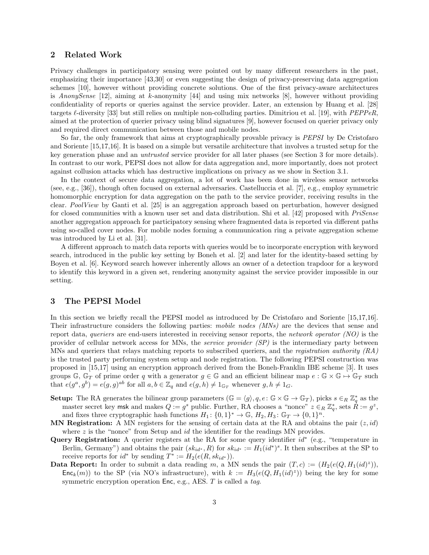## 2 Related Work

Privacy challenges in participatory sensing were pointed out by many different researchers in the past, emphasizing their importance [\[43,](#page-19-4)[30\]](#page-18-9) or even suggesting the design of privacy-preserving data aggregation schemes [\[10\]](#page-18-10), however without providing concrete solutions. One of the first privacy-aware architectures is AnonySense [\[12\]](#page-18-11), aiming at k-anonymity  $[44]$  and using mix networks [\[8\]](#page-18-12), however without providing confidentiality of reports or queries against the service provider. Later, an extension by Huang et al. [\[28\]](#page-18-13) targets  $\ell$ -diversity [\[33\]](#page-19-6) but still relies on multiple non-colluding parties. Dimitriou et al. [\[19\]](#page-18-14), with PEPPeR, aimed at the protection of querier privacy using blind signatures [\[9\]](#page-18-15), however focused on querier privacy only and required direct communication between those and mobile nodes.

So far, the only framework that aims at cryptographically provable privacy is PEPSI by De Cristofaro and Soriente [\[15,](#page-18-6)[17](#page-18-7)[,16\]](#page-18-8). It is based on a simple but versatile architecture that involves a trusted setup for the key generation phase and an untrusted service provider for all later phases (see Section [3](#page-2-0) for more details). In contrast to our work, PEPSI does not allow for data aggregation and, more importantly, does not protect against collusion attacks which has destructive implications on privacy as we show in Section [3.1.](#page-3-0)

In the context of secure data aggregation, a lot of work has been done in wireless sensor networks (see, e.g., [\[36\]](#page-19-7)), though often focused on external adversaries. Castelluccia et al. [\[7\]](#page-18-16), e.g., employ symmetric homomorphic encryption for data aggregation on the path to the service provider, receiving results in the clear. PoolView by Ganti et al. [\[25\]](#page-18-17) is an aggregation approach based on perturbation, however designed for closed communities with a known user set and data distribution. Shi et al. [\[42\]](#page-19-8) proposed with PriSense another aggregation approach for participatory sensing where fragmented data is reported via different paths using so-called cover nodes. For mobile nodes forming a communication ring a private aggregation scheme was introduced by Li et al. [\[31\]](#page-18-18).

A different approach to match data reports with queries would be to incorporate encryption with keyword search, introduced in the public key setting by Boneh et al. [\[2\]](#page-17-1) and later for the identity-based setting by Boyen et al. [\[6\]](#page-18-19). Keyword search however inherently allows an owner of a detection trapdoor for a keyword to identify this keyword in a given set, rendering anonymity against the service provider impossible in our setting.

# <span id="page-2-0"></span>3 The PEPSI Model

In this section we briefly recall the PEPSI model as introduced by De Cristofaro and Soriente [\[15,](#page-18-6)[17,](#page-18-7)[16\]](#page-18-8). Their infrastructure considers the following parties: mobile nodes (MNs) are the devices that sense and report data, queriers are end-users interested in receiving sensor reports, the network operator (NO) is the provider of cellular network access for MNs, the service provider (SP) is the intermediary party between MNs and queriers that relays matching reports to subscribed queriers, and the *registration authority* (RA) is the trusted party performing system setup and node registration. The following PEPSI construction was proposed in [\[15](#page-18-6)[,17\]](#page-18-7) using an encryption approach derived from the Boneh-Franklin IBE scheme [\[3\]](#page-17-0). It uses groups  $\mathbb{G}, \mathbb{G}_T$  of prime order q with a generator  $g \in \mathbb{G}$  and an efficient bilinear map  $e : \mathbb{G} \times \mathbb{G} \mapsto \mathbb{G}_T$  such that  $e(g^a, g^b) = e(g, g)^{ab}$  for all  $a, b \in \mathbb{Z}_q$  and  $e(g, h) \neq 1_{\mathbb{G}_T}$  whenever  $g, h \neq 1_G$ .

- **Setup:** The RA generates the bilinear group parameters  $(\mathbb{G} = \langle g \rangle, q, e : \mathbb{G} \times \mathbb{G} \to \mathbb{G}_T)$ , picks  $s \in_R \mathbb{Z}_q^*$  as the master secret key msk and makes  $Q := g^s$  public. Further, RA chooses a "nonce"  $z \in_R \mathbb{Z}_q^*$ , sets  $\mathring{R} := g^z$ , and fixes three cryptographic hash functions  $H_1: \{0,1\}^* \to \mathbb{G}, H_2, H_3: \mathbb{G}_T \to \{0,1\}^n$ .
- **MN Registration:** A MN registers for the sensing of certain data at the RA and obtains the pair  $(z, id)$ where  $z$  is the "nonce" from Setup and  $id$  the identifier for the readings MN provides.
- Query Registration: A querier registers at the RA for some query identifier  $id^*$  (e.g., "temperature in Berlin, Germany") and obtains the pair  $(sk_{id^*}, R)$  for  $sk_{id^*} := H_1(id^*)^s$ . It then subscribes at the SP to receive reports for  $id^*$  by sending  $T^* := H_2(e(R, sk_{id^*}))$ .
- **Data Report:** In order to submit a data reading m, a MN sends the pair  $(T, c) := (H_2(e(Q, H_1(id)^z)),$ Enc<sub>k</sub>(m)) to the SP (via NO's infrastructure), with  $k := H_3(e(Q, H_1(id)^z))$  being the key for some symmetric encryption operation Enc, e.g., AES. T is called a tag.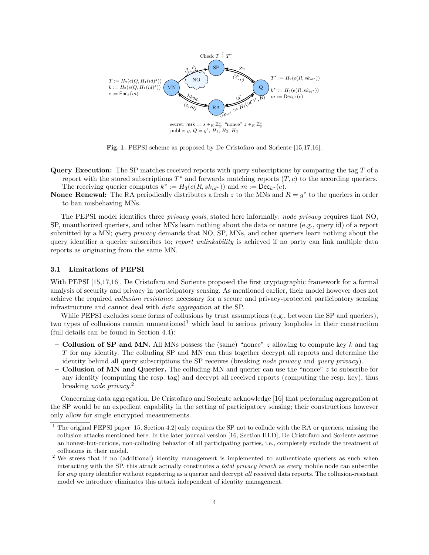

Fig. 1. PEPSI scheme as proposed by De Cristofaro and Soriente [\[15,](#page-18-6)[17,](#page-18-7)[16\]](#page-18-8).

- Query Execution: The SP matches received reports with query subscriptions by comparing the tag T of a report with the stored subscriptions  $T^*$  and forwards matching reports  $(T, c)$  to the according queriers. The receiving querier computes  $k^* := H_3(e(R, sk_{id^*}))$  and  $m := \text{Dec}_{k^*}(c)$ .
- **Nonce Renewal:** The RA periodically distributes a fresh z to the MNs and  $R = g^z$  to the queriers in order to ban misbehaving MNs.

The PEPSI model identifies three privacy goals, stated here informally: node privacy requires that NO, SP, unauthorized queriers, and other MNs learn nothing about the data or nature (e.g., query id) of a report submitted by a MN; *query privacy* demands that NO, SP, MNs, and other queriers learn nothing about the query identifier a querier subscribes to; report unlinkability is achieved if no party can link multiple data reports as originating from the same MN.

#### <span id="page-3-0"></span>3.1 Limitations of PEPSI

With PEPSI [\[15,](#page-18-6)[17,](#page-18-7)[16\]](#page-18-8), De Cristofaro and Soriente proposed the first cryptographic framework for a formal analysis of security and privacy in participatory sensing. As mentioned earlier, their model however does not achieve the required collusion resistance necessary for a secure and privacy-protected participatory sensing infrastructure and cannot deal with data aggregation at the SP.

While PEPSI excludes some forms of collusions by trust assumptions (e.g., between the SP and queriers), two types of collusions remain unmentioned<sup>1</sup> which lead to serious privacy loopholes in their construction (full details can be found in Section [4.4\)](#page-8-0):

- Collusion of SP and MN. All MNs possess the (same) "nonce"  $z$  allowing to compute key k and tag T for any identity. The colluding SP and MN can thus together decrypt all reports and determine the identity behind all query subscriptions the SP receives (breaking node privacy and query privacy).
- Collusion of MN and Querier. The colluding MN and querier can use the "nonce"  $z$  to subscribe for any identity (computing the resp. tag) and decrypt all received reports (computing the resp. key), thus breaking *node privacy*.<sup>2</sup>

Concerning data aggregation, De Cristofaro and Soriente acknowledge [\[16\]](#page-18-8) that performing aggregation at the SP would be an expedient capability in the setting of participatory sensing; their constructions however only allow for single encrypted measurements.

<sup>&</sup>lt;sup>1</sup> The original PEPSI paper [\[15,](#page-18-6) Section 4.2] only requires the SP not to collude with the RA or queriers, missing the collusion attacks mentioned here. In the later journal version [\[16,](#page-18-8) Section III.D], De Cristofaro and Soriente assume an honest-but-curious, non-colluding behavior of all participating parties, i.e., completely exclude the treatment of collusions in their model.

<sup>&</sup>lt;sup>2</sup> We stress that if no (additional) identity management is implemented to authenticate queriers as such when interacting with the SP, this attack actually constitutes a total privacy breach as every mobile node can subscribe for any query identifier without registering as a querier and decrypt all received data reports. The collusion-resistant model we introduce eliminates this attack independent of identity management.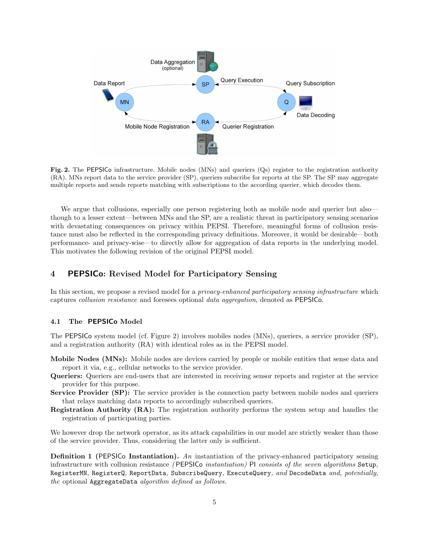

<span id="page-4-0"></span>Fig. 2. The PEPSICo infrastructure. Mobile nodes (MNs) and queriers (Qs) register to the registration authority (RA). MNs report data to the service provider (SP), queriers subscribe for reports at the SP. The SP may aggregate multiple reports and sends reports matching with subscriptions to the according querier, which decodes them.

We argue that collusions, especially one person registering both as mobile node and querier but also though to a lesser extent—between MNs and the SP, are a realistic threat in participatory sensing scenarios with devastating consequences on privacy within PEPSI. Therefore, meaningful forms of collusion resistance must also be reflected in the corresponding privacy definitions. Moreover, it would be desirable—both performance- and privacy-wise—to directly allow for aggregation of data reports in the underlying model. This motivates the following revision of the original PEPSI model.

# 4 PEPSICo: Revised Model for Participatory Sensing

In this section, we propose a revised model for a *privacy-enhanced participatory sensing infrastructure* which captures collusion resistance and foresees optional data aggregation, denoted as PEPSICo.

#### 4.1 The PEPSICo Model

The PEPSICo system model (cf. Figure [2\)](#page-4-0) involves mobiles nodes (MNs), queriers, a service provider (SP), and a registration authority (RA) with identical roles as in the PEPSI model.

- Mobile Nodes (MNs): Mobile nodes are devices carried by people or mobile entities that sense data and report it via, e.g., cellular networks to the service provider.
- Queriers: Queriers are end-users that are interested in receiving sensor reports and register at the service provider for this purpose.
- Service Provider (SP): The service provider is the connection party between mobile nodes and queriers that relays matching data reports to accordingly subscribed queriers.
- Registration Authority (RA): The registration authority performs the system setup and handles the registration of participating parties.

We however drop the network operator, as its attack capabilities in our model are strictly weaker than those of the service provider. Thus, considering the latter only is sufficient.

**Definition 1** (PEPSICo Instantiation). An instantiation of the privacy-enhanced participatory sensing infrastructure with collusion resistance (PEPSICo *instantiation*) PI consists of the seven algorithms Setup, RegisterMN, RegisterQ, ReportData, SubscribeQuery, ExecuteQuery, and DecodeData and, potentially, the optional AggregateData algorithm defined as follows.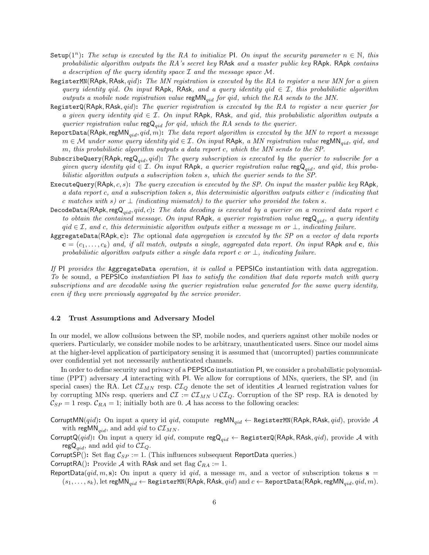- Setup( $1^n$ ): The setup is executed by the RA to initialize PI. On input the security parameter  $n \in \mathbb{N}$ , this probabilistic algorithm outputs the RA's secret key RAsk and a master public key RApk. RApk contains a description of the query identity space I and the message space M.
- RegisterMN(RApk, RAsk,  $qid$ ): The MN registration is executed by the RA to register a new MN for a given query identity qid. On input RApk, RAsk, and a query identity qid  $\in \mathcal{I}$ , this probabilistic algorithm outputs a mobile node registration value reg $MN_{qid}$  for qid, which the RA sends to the MN.
- RegisterQ(RApk, RAsk,  $qid$ ): The querier registration is executed by the RA to register a new querier for a given query identity  $qid \in \mathcal{I}$ . On input RApk, RAsk, and qid, this probabilistic algorithm outputs a querier registration value  $\text{regQ}_{qid}$  for qid, which the RA sends to the querier.
- ReportData(RApk, regMN<sub>aid</sub>, qid, m): The data report algorithm is executed by the MN to report a message  $m \in \mathcal{M}$  under some query identity  $qid \in \mathcal{I}$ . On input RApk, a MN registration value reg $MN_{qid}$ , qid, and m, this probabilistic algorithm outputs a data report c, which the MN sends to the SP.
- SubscribeQuery(RApk,regQ<sub>qid</sub>, qid): The query subscription is executed by the querier to subscribe for a given query identity qid  $\in \mathcal{I}$ . On input RApk, a querier registration value reg $\mathsf{Q}_{oid}$ , and qid, this probabilistic algorithm outputs a subscription token s, which the querier sends to the SP.
- ExecuteQuery(RApk, c, s): The query execution is executed by the SP. On input the master public key RApk, a data report c, and a subscription token s, this deterministic algorithm outputs either c (indicating that c matches with s) or  $\perp$  (indicating mismatch) to the querier who provided the token s.
- DecodeData(RApk, reg $Q_{qid}$ ,  $qid, c)$ : The data decoding is executed by a querier on a received data report c to obtain the contained message. On input RApk, a querier registration value reg $\mathbb{Q}_{oid}$ , a query identity  $qid \in \mathcal{I}$ , and c, this deterministic algorithm outputs either a message m or  $\perp$ , indicating failure.
- $AggregateData(RApk, c):$  The optional data aggregation is executed by the SP on a vector of data reports  $\mathbf{c} = (c_1, \ldots, c_k)$  and, if all match, outputs a single, aggregated data report. On input RApk and c, this probabilistic algorithm outputs either a single data report c or  $\bot$ , indicating failure.

If PI provides the AggregateData operation, it is called a PEPSICo instantiation with data aggregation. To be sound, a PEPSICo instantiation PI has to satisfy the condition that data reports match with query subscriptions and are decodable using the querier registration value generated for the same query identity, even if they were previously aggregated by the service provider.

#### <span id="page-5-0"></span>4.2 Trust Assumptions and Adversary Model

In our model, we allow collusions between the SP, mobile nodes, and queriers against other mobile nodes or queriers. Particularly, we consider mobile nodes to be arbitrary, unauthenticated users. Since our model aims at the higher-level application of participatory sensing it is assumed that (uncorrupted) parties communicate over confidential yet not necessarily authenticated channels.

In order to define security and privacy of a PEPSICo instantiation PI, we consider a probabilistic polynomialtime (PPT) adversary  $A$  interacting with PI. We allow for corruptions of MNs, queriers, the SP, and (in special cases) the RA. Let  $\mathcal{CI}_{MN}$  resp.  $\mathcal{CI}_Q$  denote the set of identities A learned registration values for by corrupting MNs resp. queriers and  $\mathcal{CI} := \mathcal{CI}_{MN} \cup \mathcal{CI}_Q$ . Corruption of the SP resp. RA is denoted by  $\mathcal{C}_{SP} = 1$  resp.  $\mathcal{C}_{RA} = 1$ ; initially both are 0. A has access to the following oracles:

CorruptMN(qid): On input a query id qid, compute regMN<sub>aid</sub> ← RegisterMN(RApk, RAsk, qid), provide A with regMN<sub>aid</sub>, and add qid to  $\mathcal{CI}_{MN}$ .

CorruptQ(qid): On input a query id qid, compute reg $Q_{qid} \leftarrow$  RegisterQ(RApk, RAsk, qid), provide A with reg $\mathsf{Q}_{qid}$ , and add *qid* to  $\mathcal{CI}_Q$ .

CorruptSP(): Set flag  $C_{SP} := 1$ . (This influences subsequent ReportData queries.)

CorruptRA(): Provide A with RAsk and set flag  $C_{RA} := 1$ .

ReportData(qid, m, s): On input a query id qid, a message m, and a vector of subscription tokens  $s =$  $(s_1, \ldots, s_k)$ , let regMN $_{qid} \leftarrow$  RegisterMN(RApk, RAsk,  $qid$ ) and  $c \leftarrow$  ReportData(RApk, regMN $_{qid}$ ,  $qid, m$ ).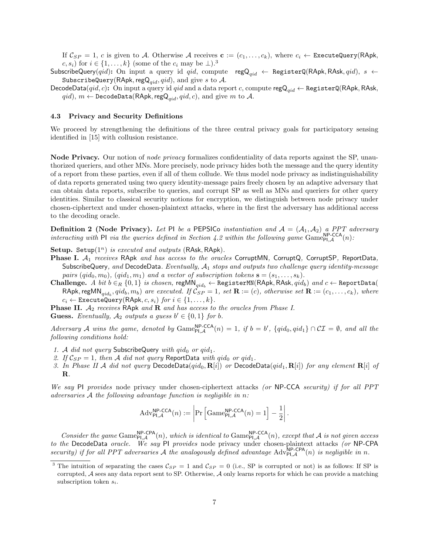If  $C_{SP} = 1$ , c is given to A. Otherwise A receives  $\mathbf{c} := (c_1, \ldots, c_k)$ , where  $c_i \leftarrow \text{ExecuteQuery}(RApk,$  $(c, s_i)$  for  $i \in \{1, \ldots, k\}$  (some of the  $c_i$  may be  $\perp$ ).<sup>3</sup>

SubscribeQuery(qid): On input a query id qid, compute  $regQ_{qid} \leftarrow RegisterQ(RApk, RAsk, qid), s \leftarrow$ SubscribeQuery(RApk,regQ<sub>qid</sub>, qid), and give s to A.

DecodeData(qid, c): On input a query id qid and a data report c, compute reg $\mathbb{Q}_{oid} \leftarrow$  RegisterQ(RApk, RAsk,  $qid$ ,  $m \leftarrow$  DecodeData(RApk, reg $\mathsf{Q}_{qid}$ ,  $qid, c$ ), and give m to A.

### 4.3 Privacy and Security Definitions

We proceed by strengthening the definitions of the three central privacy goals for participatory sensing identified in [\[15\]](#page-18-6) with collusion resistance.

Node Privacy. Our notion of node privacy formalizes confidentiality of data reports against the SP, unauthorized queriers, and other MNs. More precisely, node privacy hides both the message and the query identity of a report from these parties, even if all of them collude. We thus model node privacy as indistinguishability of data reports generated using two query identity-message pairs freely chosen by an adaptive adversary that can obtain data reports, subscribe to queries, and corrupt SP as well as MNs and queriers for other query identities. Similar to classical security notions for encryption, we distinguish between node privacy under chosen-ciphertext and under chosen-plaintext attacks, where in the first the adversary has additional access to the decoding oracle.

<span id="page-6-0"></span>**Definition 2 (Node Privacy).** Let PI be a PEPSICo instantiation and  $A = (A_1, A_2)$  a PPT adversary interacting with PI via the queries defined in Section [4.2](#page-5-0) within the following game Game $_{\text{Pl},\mathcal{A}}^{\text{NP-CCA}}(n)$ :

Setup. Setup $(1^n)$  is executed and outputs (RAsk, RApk).

- **Phase I.**  $A_1$  receives RApk and has access to the oracles CorruptMN, CorruptQ, CorruptSP, ReportData, SubscribeQuery, and DecodeData. Eventually,  $A_1$  stops and outputs two challenge query identity-message pairs  $(qid_0, m_0)$ ,  $(qid_1, m_1)$  and a vector of subscription tokens  $\mathbf{s} = (s_1, \ldots, s_k)$ .
- Challenge. A bit  $b \in_R \{0,1\}$  is chosen, regMN<sub>qid<sub>b</sub></sub> ← RegisterMN(RApk, RAsk, qid<sub>b</sub>) and  $c$  ← ReportData( RApk, reg $\textsf{MM}_{qid_b}, qid_b, m_b)$  are executed. If  $\mathcal{C}_{SP}=1$ , set  $\mathbf{R} := (c_1, c_2, \ldots, c_k)$ , where  $c_i \leftarrow$  ExecuteQuery(RApk,  $c, s_i$ ) for  $i \in \{1, ..., k\}$ .

**Phase II.**  $A_2$  receives RApk and R and has access to the oracles from Phase I. **Guess.** Eventually,  $A_2$  outputs a guess  $b' \in \{0, 1\}$  for b.

Adversary A wins the game, denoted by  $\text{Game}_{\text{Pl},\mathcal{A}}^{\text{NP-CCA}}(n) = 1$ , if  $b = b'$ ,  $\{qid_0,qid_1\} \cap \mathcal{CI} = \emptyset$ , and all the following conditions hold:

- 1. A did not query SubscribeQuery with  $qid_0$  or  $qid_1$ .
- 2. If  $C_{SP} = 1$ , then A did not query ReportData with qid<sub>0</sub> or qid<sub>1</sub>.
- 3. In Phase II A did not query DecodeData $(qid_0, \mathbf{R}[i])$  or DecodeData $(qid_1, \mathbf{R}[i])$  for any element  $\mathbf{R}[i]$  of R.

We say PI provides node privacy under chosen-ciphertext attacks (or NP-CCA security) if for all PPT adversaries A the following advantage function is negligible in  $n$ :

$$
\mathrm{Adv}_{\mathsf{PI},\mathcal{A}}^{\mathsf{NP}\text{-}\mathsf{CCA}}(n) := \left| \Pr \left[ \mathrm{Game}_{\mathsf{PI},\mathcal{A}}^{\mathsf{NP}\text{-}\mathsf{CCA}}(n) = 1 \right] - \frac{1}{2} \right|.
$$

Consider the game  $\text{Game}_{\text{PI},\mathcal{A}}^{\text{NP-CPA}}(n)$ , which is identical to  $\text{Game}_{\text{PI},\mathcal{A}}^{\text{NP-CCA}}(n)$ , except that A is not given access to the DecodeData oracle. We say PI provides node privacy under chosen-plaintext attacks (or NP-CPA security) if for all PPT adversaries A the analogously defined advantage  $\text{Adv}_{\text{Pl},\mathcal{A}}^{\text{NP-CPA}}(n)$  is negligible in n.

<sup>&</sup>lt;sup>3</sup> The intuition of separating the cases  $\mathcal{C}_{SP} = 1$  and  $\mathcal{C}_{SP} = 0$  (i.e., SP is corrupted or not) is as follows: If SP is corrupted,  $A$  sees any data report sent to SP. Otherwise,  $A$  only learns reports for which he can provide a matching subscription token  $s_i$ .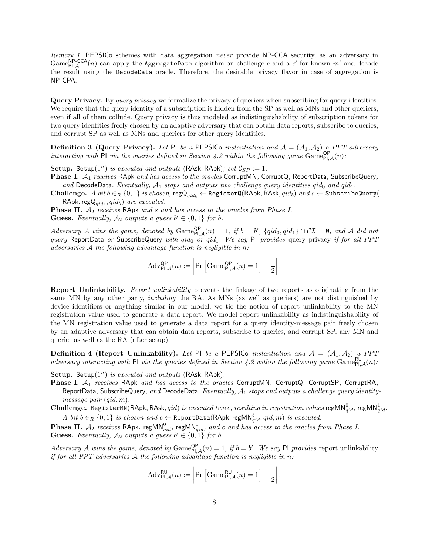<span id="page-7-2"></span>Remark 1. PEPSICo schemes with data aggregation never provide NP-CCA security, as an adversary in  $\text{Game}_{\textsf{PI},\mathcal{A}}^{\textsf{NP-CCA}}(n)$  can apply the **AggregateData** algorithm on challenge  $c$  and a  $c'$  for known  $m'$  and decode the result using the DecodeData oracle. Therefore, the desirable privacy flavor in case of aggregation is NP-CPA.

Query Privacy. By query privacy we formalize the privacy of queriers when subscribing for query identities. We require that the query identity of a subscription is hidden from the SP as well as MNs and other queriers, even if all of them collude. Query privacy is thus modeled as indistinguishability of subscription tokens for two query identities freely chosen by an adaptive adversary that can obtain data reports, subscribe to queries, and corrupt SP as well as MNs and queriers for other query identities.

<span id="page-7-0"></span>**Definition 3 (Query Privacy).** Let PI be a PEPSICo instantiation and  $A = (A_1, A_2)$  a PPT adversary interacting with PI via the queries defined in Section [4.2](#page-5-0) within the following game  $\text{Game}_{\text{PI},\mathcal{A}}^{\text{QP}}(n)$ :

Setup. Setup(1<sup>n</sup>) is executed and outputs (RAsk, RApk); set  $\mathcal{C}_{SP} := 1$ .

**Phase I.**  $A_1$  receives RApk and has access to the oracles CorruptMN, CorruptQ, ReportData, SubscribeQuery, and DecodeData. Eventually,  $A_1$  stops and outputs two challenge query identities  $qid_0$  and  $qid_1$ .

Challenge. A bit  $b \in_R \{0,1\}$  is chosen, reg $\mathsf{Q}_{qid_b} \leftarrow \mathsf{RegisterQ}(\mathsf{RApk}, \mathsf{RAsk}, qid_b)$  and  $s \leftarrow \mathsf{SubscribeQuery}(p)$ RApk, reg ${\sf Q}_{qid_b}, qid_b)$  are executed.

**Phase II.**  $A_2$  receives RApk and s and has access to the oracles from Phase I. **Guess.** Eventually,  $A_2$  outputs a guess  $b' \in \{0, 1\}$  for b.

Adversary A wins the game, denoted by  $\text{Game}^{\text{QP}}_{\text{PI},\mathcal{A}}(n) = 1$ , if  $b = b'$ ,  $\{qid_0,qid_1\} \cap \mathcal{CI} = \emptyset$ , and A did not query ReportData or SubscribeQuery with  $qid_0$  or  $qid_1$ . We say PI provides query privacy if for all PPT adversaries A the following advantage function is negligible in n:

$$
\mathrm{Adv}_{\mathsf{PI},\mathcal{A}}^{\mathsf{QP}}(n) := \left| \mathrm{Pr}\left[ \mathrm{Game}_{\mathsf{PI},\mathcal{A}}^{\mathsf{QP}}(n) = 1 \right] - \frac{1}{2} \right|.
$$

Report Unlinkability. Report unlinkability prevents the linkage of two reports as originating from the same MN by any other party, *including* the RA. As MNs (as well as queriers) are not distinguished by device identifiers or anything similar in our model, we tie the notion of report unlinkability to the MN registration value used to generate a data report. We model report unlinkability as indistinguishability of the MN registration value used to generate a data report for a query identity-message pair freely chosen by an adaptive adversary that can obtain data reports, subscribe to queries, and corrupt SP, any MN and querier as well as the RA (after setup).

<span id="page-7-1"></span>**Definition 4 (Report Unlinkability).** Let PI be a PEPSICo instantiation and  $A = (A_1, A_2)$  a PPT adversary interacting with PI via the queries defined in Section [4.2](#page-5-0) within the following game  $\text{Game}_{\text{PI},\mathcal{A}}^{\text{RU}}(n)$ :

Setup. Setup $(1^n)$  is executed and outputs (RAsk, RApk).

- Phase I.  $A_1$  receives RApk and has access to the oracles CorruptMN, CorruptQ, CorruptSP, CorruptRA, ReportData, SubscribeQuery, and DecodeData. Eventually,  $A_1$  stops and outputs a challenge query identitymessage pair (qid, m).
- **Challenge.** RegisterMN(RApk, RAsk, qid) is executed twice, resulting in registration values regMN $_{qid}^0$ , regMN $_{qid}^1$ . A bit  $b \in_R \{0,1\}$  is chosen and  $c \leftarrow$  ReportData(RApk, regMN $_{qid}^b$ ,  $qid, m)$  is executed.

**Phase II.**  $A_2$  receives RApk, regMN $_{qid}^0$ , regMN $_{qid}^1$ , and c and has access to the oracles from Phase I. **Guess.** Eventually,  $A_2$  outputs a guess  $b' \in \{0, 1\}$  for b.

Adversary A wins the game, denoted by  $\text{Game}^{\text{QP}}_{\text{Pl},\mathcal{A}}(n) = 1$ , if  $b = b'$ . We say PI provides report unlinkability if for all PPT adversaries  $A$  the following advantage function is negligible in n:

$$
\mathrm{Adv}_{\mathsf{PI},\mathcal{A}}^{\mathsf{RU}}(n) := \left| \Pr \left[ \mathrm{Game}_{\mathsf{PI},\mathcal{A}}^{\mathsf{RU}}(n) = 1 \right] - \frac{1}{2} \right|.
$$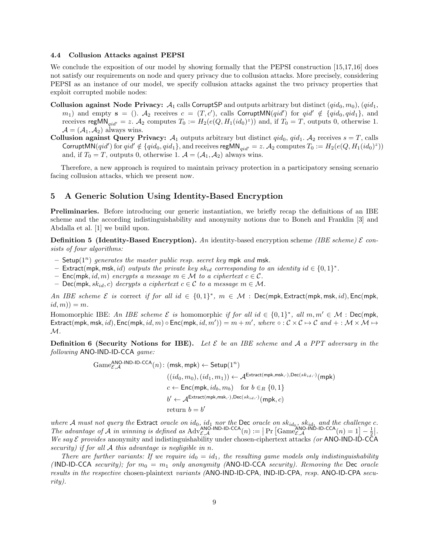#### <span id="page-8-0"></span>4.4 Collusion Attacks against PEPSI

We conclude the exposition of our model by showing formally that the PEPSI construction [\[15,](#page-18-6)[17,](#page-18-7)[16\]](#page-18-8) does not satisfy our requirements on node and query privacy due to collusion attacks. More precisely, considering PEPSI as an instance of our model, we specify collusion attacks against the two privacy properties that exploit corrupted mobile nodes:

- Collusion against Node Privacy:  $A_1$  calls CorruptSP and outputs arbitrary but distinct  $(qid_0, m_0)$ ,  $(qid_1,$  $m_1$ ) and empty  $s = ()$ .  $\mathcal{A}_2$  receives  $c = (T, c')$ , calls CorruptMN( $qid'$ ) for  $qid' \notin \{qid_0, qid_1\}$ , and receives regMN<sub>qid'</sub> = z.  $A_2$  computes  $T_0 := H_2(e(Q, H_1(id_0)^z))$  and, if  $T_0 = T$ , outputs 0, otherwise 1.  $\mathcal{A} = (\mathcal{A}_1, \mathcal{A}_2)$  always wins.
- Collusion against Query Privacy:  $A_1$  outputs arbitrary but distinct  $qid_0$ ,  $qid_1$ .  $A_2$  receives  $s = T$ , calls Corrupt $MN(qid')$  for  $qid' \notin \{qid_0, qid_1\}$ , and receives reg $MN_{qid'} = z$ .  $A_2$  computes  $T_0 := H_2(e(Q, H_1(id_0)^z))$ and, if  $T_0 = T$ , outputs 0, otherwise 1.  $\mathcal{A} = (\mathcal{A}_1, \mathcal{A}_2)$  always wins.

Therefore, a new approach is required to maintain privacy protection in a participatory sensing scenario facing collusion attacks, which we present now.

## 5 A Generic Solution Using Identity-Based Encryption

Preliminaries. Before introducing our generic instantiation, we briefly recap the definitions of an IBE scheme and the according indistinguishability and anonymity notions due to Boneh and Franklin [\[3\]](#page-17-0) and Abdalla et al. [\[1\]](#page-17-2) we build upon.

<span id="page-8-1"></span>**Definition 5 (Identity-Based Encryption).** An identity-based encryption scheme (IBE scheme)  $\mathcal{E}$  consists of four algorithms:

- Setup( $1^n$ ) generates the master public resp. secret key mpk and msk.
- $-$  Extract(mpk, msk, id) outputs the private key sk<sub>id</sub> corresponding to an identity id  $\in \{0,1\}^*$ .
- Enc(mpk, id, m) encrypts a message  $m \in M$  to a ciphertext  $c \in \mathcal{C}$ .
- Dec(mpk,  $sk_{id}, c$ ) decrypts a ciphertext  $c \in \mathcal{C}$  to a message  $m \in \mathcal{M}$ .

An IBE scheme  $\mathcal E$  is correct if for all  $id \in \{0,1\}^*$ ,  $m \in \mathcal M$  : Dec(mpk, Extract(mpk, msk, id), Enc(mpk,  $id, m$ ) = m.

Homomorphic IBE: An IBE scheme  $\mathcal E$  is homomorphic if for all  $id \in \{0,1\}^*$ , all  $m, m' \in \mathcal M$  : Dec(mpk, Extract(mpk, msk, id), Enc(mpk, id, m)  $\circ$  Enc(mpk, id, m')) =  $m + m'$ , where  $\circ : C \times C \mapsto C$  and  $+ : \mathcal{M} \times \mathcal{M} \mapsto$ M.

**Definition 6 (Security Notions for IBE).** Let  $\mathcal{E}$  be an IBE scheme and  $\mathcal{A}$  a PPT adversary in the following ANO-IND-ID-CCA game:

$$
\begin{aligned} \text{Game}^{\text{ANO-IND-ID-CCA}}_{\mathcal{E}, \mathcal{A}}(n) \colon (\text{msk}, \text{mpk}) \leftarrow \text{Setup}(1^n) \\ & ( (id_0, m_0), (id_1, m_1)) \leftarrow \mathcal{A}^{\text{Extract}(mpk, msk, \cdot), \text{Dec}(sk_{id}, \cdot)}(\text{mpk}) \\ & c \leftarrow \text{Enc}(mpk, id_b, m_b) \quad \text{for } b \in_R \{0, 1\} \\ & b' \leftarrow \mathcal{A}^{\text{Extract}(mpk, msk, \cdot), \text{Dec}(sk_{id}, \cdot)}(\text{mpk}, c) \\ & \text{return } b = b' \end{aligned}
$$

where A must not query the Extract oracle on  $id_0$ ,  $id_1$  nor the Dec oracle on  $sk_{id_0}$ ,  $sk_{id_1}$  and the challenge c. The advantage of A in winning is defined as  $Adv_{\mathcal{E},\mathcal{A}}^{\text{ANO-IND-ID-CCA}}(n) := \left[ Pr \left[ Gam_{\mathcal{E},\mathcal{A}}^{AND-IND-ID-CCA}(n) = 1 \right] - \frac{1}{2} \right]$ . We say  $\mathcal E$  provides anonymity and indistinguishability under chosen-ciphertext attacks (or ANO-IND-ID-CCA security) if for all  $A$  this advantage is negligible in n.

There are further variants: If we require  $id_0 = id_1$ , the resulting game models only indistinguishability (IND-ID-CCA security); for  $m_0 = m_1$  only anonymity (ANO-ID-CCA security). Removing the Dec oracle results in the respective chosen-plaintext variants (ANO-IND-ID-CPA, IND-ID-CPA, resp. ANO-ID-CPA security).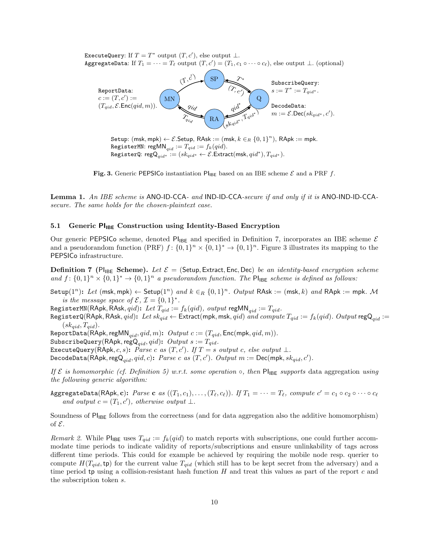ExecuteQuery: If  $T = T^*$  output  $(T, c'),$  else output  $\bot$ . AggregateData: If  $T_1 = \cdots = T_\ell$  output  $(T, c') = (T_1, c_1 \circ \cdots \circ c_\ell)$ , else output  $\bot$ . (optional)



<span id="page-9-1"></span>Setup:  $(msk, mpk) \leftarrow \mathcal{E}$ .Setup, RAsk :=  $(msk, k \in_R \{0, 1\}^n)$ , RApk := mpk. RegisterMN: reg $\mathsf{MM}_{aid} := T_{qid} := f_k(qid)$ .  $\texttt{RegisterQ: regQ}_{qid^*} := (sk_{qid^*} \leftarrow \mathcal{E}.\texttt{Extract}(\textsf{msk}, qid^*), T_{qid^*}).$ 



<span id="page-9-2"></span>Lemma 1. An IBE scheme is ANO-ID-CCA- and IND-ID-CCA-secure if and only if it is ANO-IND-ID-CCAsecure. The same holds for the chosen-plaintext case.

#### 5.1 Generic PI<sub>IBE</sub> Construction using Identity-Based Encryption

Our generic PEPSICo scheme, denoted PI<sub>IBE</sub> and specified in Definition [7,](#page-9-0) incorporates an IBE scheme  $\mathcal{E}$ and a pseudorandom function (PRF)  $f: \{0,1\}^n \times \{0,1\}^* \to \{0,1\}^n$ . Figure [3](#page-9-1) illustrates its mapping to the PEPSICo infrastructure.

<span id="page-9-0"></span>**Definition 7** (PI<sub>IBE</sub> Scheme). Let  $\mathcal{E} =$  (Setup, Extract, Enc, Dec) be an identity-based encryption scheme and  $f: \{0,1\}^n \times \{0,1\}^n \to \{0,1\}^n$  a pseudorandom function. The Pl<sub>IBE</sub> scheme is defined as follows:

Setup $(1^n)$ : Let  $(\textsf{msk}, \textsf{mpk}) \leftarrow \textsf{Setup}(1^n)$  and  $k \in_R \{0,1\}^n$ . Output RAsk  $:= (\textsf{msk}, k)$  and RApk  $:= \textsf{mpk}$ . M is the message space of  $\mathcal{E}, \mathcal{I} = \{0,1\}^*$ .

RegisterMN(RApk, RAsk, qid): Let  $T_{qid} := f_k(qid)$ , output reg $MN_{qid} := T_{qid}$ .

RegisterQ(RApk, RAsk, qid): Let  $sk_{qid} \leftarrow$  Extract(mpk, msk, qid) and compute  $T_{qid} := f_k(qid)$ . Output reg $Q_{qid} :=$  $(sk_{qid}, T_{qid}).$ 

ReportData(RApk, regMN<sub>qid</sub>, qid, m): Output  $c := (T_{qid}, \text{Enc}(\text{mpk}, qid, m))$ .

SubscribeQuery(RApk,regQ<sub>aid</sub>, qid): Output  $s := T_{qid}$ .

ExecuteQuery(RApk, c, s):  $P\overline{arse}$  c as  $(T, c').$  If  $T = s$  output c, else output  $\bot$ .

 $\mathtt{DecodeData}(\mathsf{RApk},\mathsf{regQ}_{qid},qid,c)$ :  $\mathit{Parsec~as~}(T,c').$   $\mathit{Output}~m := \mathsf{Dec}(\mathsf{mpk},sk_{qid},c').$ 

If  $\mathcal E$  is homomorphic (cf. Definition [5\)](#page-8-1) w.r.t. some operation  $\circ$ , then PI<sub>IBE</sub> supports data aggregation using the following generic algorithm:

AggregateData $(\mathsf{RApk}, \mathbf{c})$ :  $\mathit{Parse} \ \mathbf{c} \ \mathit{as} \ ((T_1, c_1), \ldots, (T_\ell, c_\ell))$ . If  $T_1 = \cdots = T_\ell$ , compute  $c' = c_1 \circ c_2 \circ \cdots \circ c_\ell$ and output  $c = (T_1, c')$ , otherwise output  $\perp$ .

Soundness of  $PI_{IBE}$  follows from the correctness (and for data aggregation also the additive homomorphism) of  $\mathcal{E}.$ 

Remark 2. While  $Pl_{\text{B}}$  uses  $T_{qid} := f_k(qid)$  to match reports with subscriptions, one could further accommodate time periods to indicate validity of reports/subscriptions and ensure unlinkability of tags across different time periods. This could for example be achieved by requiring the mobile node resp. querier to compute  $H(T_{qid}, \text{tp})$  for the current value  $T_{qid}$  (which still has to be kept secret from the adversary) and a time period tp using a collision-resistant hash function  $H$  and treat this values as part of the report  $c$  and the subscription token s.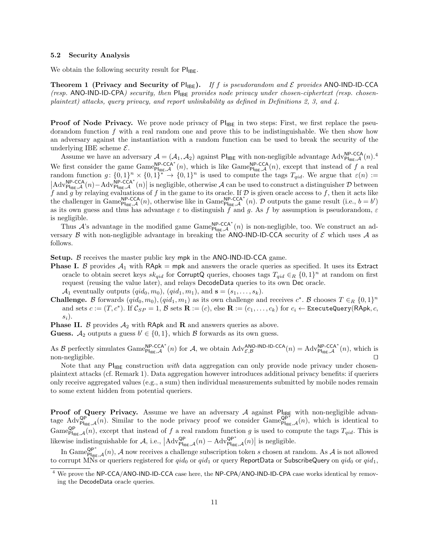#### <span id="page-10-1"></span>5.2 Security Analysis

<span id="page-10-0"></span>We obtain the following security result for  $PI_{\text{B}}E$ .

**Theorem 1 (Privacy and Security of PI<sub>IBE</sub>).** If f is pseudorandom and  $\mathcal E$  provides ANO-IND-ID-CCA (resp. ANO-IND-ID-CPA) security, then  $PI_{\text{IBE}}$  provides node privacy under chosen-ciphertext (resp. chosenplaintext) attacks, query privacy, and report unlinkability as defined in Definitions [2,](#page-6-0) [3,](#page-7-0) and [4.](#page-7-1)

**Proof of Node Privacy.** We prove node privacy of  $PI_{IBE}$  in two steps: First, we first replace the pseudorandom function f with a real random one and prove this to be indistinguishable. We then show how an adversary against the instantiation with a random function can be used to break the security of the underlying IBE scheme  $\mathcal{E}$ .

Assume we have an adversary  $A = (A_1, A_2)$  against  $\text{Pl}_{\text{BEE}}$  with non-negligible advantage  $\text{Adv}_{\text{Pl}_{\text{BEE}}, \mathcal{A}}^{\text{NP-CCA}}(n)$ .<sup>4</sup> We first consider the game  $\text{Game}_{\text{Pl}_{\text{BES}},\mathcal{A}}^{\text{NP-CCA,*}}(n)$ , which is like  $\text{Game}_{\text{Pl}_{\text{BES}},\mathcal{A}}^{\text{NP-CCA}}(n)$ , except that instead of f a real random function  $g: \{0,1\}^n \times \{0,1\}^n \to \{0,1\}^n$  is used to compute the tags  $T_{qid}$ . We argue that  $\varepsilon(n)$  :=  $\left[\text{Adv}_{\text{Pl}_{\text{IBE},\mathcal{A}}}^{\text{NP-CCA}}(n) - \text{Adv}_{\text{Pl}_{\text{IBE},\mathcal{A}}}^{\text{NP-CCA}}(n)\right]$  is negligible, otherwise  $\mathcal{A}$  can be used to construct a distinguisher  $\mathcal{D}$  between f and g by relaying evaluations of f in the game to its oracle. If  $\mathcal D$  is given oracle access to f, then it acts like the challenger in  $\text{Game}_{\text{PI}_{\text{IBE}},\mathcal{A}}^{\text{NP-CCA}}(n)$ , otherwise like in  $\text{Game}_{\text{PI}_{\text{IBE}},\mathcal{A}}^{\text{NP-CCA}}(n)$ . D outputs the game result (i.e.,  $b = b'$ ) as its own guess and thus has advantage  $\varepsilon$  to distinguish f and g. As f by assumption is pseudorandom,  $\varepsilon$ is negligible.

Thus A's advantage in the modified game  $\text{Game}_{\text{Pl}_{\text{IBE}},\mathcal{A}}^{\text{NP-CCA}*}(n)$  is non-negligible, too. We construct an adversary B with non-negligible advantage in breaking the ANO-IND-ID-CCA security of  $\mathcal E$  which uses A as follows.

Setup. B receives the master public key mpk in the ANO-IND-ID-CCA game.

- **Phase I.** B provides  $A_1$  with RApk = mpk and answers the oracle queries as specified. It uses its Extract oracle to obtain secret keys  $sk_{qid}$  for CorruptQ queries, chooses tags  $T_{qid} \in_R \{0,1\}^n$  at random on first request (reusing the value later), and relays DecodeData queries to its own Dec oracle.
	- $\mathcal{A}_1$  eventually outputs  $(qid_0, m_0)$ ,  $(qid_1, m_1)$ , and  $\mathbf{s} = (s_1, \ldots, s_k)$ .
- **Challenge.** B forwards  $(qid_0, m_0)$ ,  $(qid_1, m_1)$  as its own challenge and receives  $c^*$ . B chooses  $T \in_R \{0, 1\}^n$ and sets  $c := (T, c^*)$ . If  $\mathcal{C}_{SP} = 1$ ,  $\mathcal{B}$  sets  $\mathbf{R} := (c)$ , else  $\mathbf{R} := (c_1, \ldots, c_k)$  for  $c_i \leftarrow \texttt{ExecuteQuery}(RApk, c, c)$  $s_i$ ).
- **Phase II.** B provides  $A_2$  with RApk and **R** and answers queries as above.
- **Guess.**  $A_2$  outputs a guess  $b' \in \{0, 1\}$ , which  $\beta$  forwards as its own guess.

As B perfectly simulates  $\text{Game}_{\text{Pl}_{\text{IBE}},\mathcal{A}}^{\text{NP-CCA}*}(n)$  for  $\mathcal{A}$ , we obtain  $\text{Adv}_{\mathcal{E},\mathcal{B}}^{\text{ANO-IND-ID-CCA}}(n) = \text{Adv}_{\text{Pl}_{\text{IBE}},\mathcal{A}}^{\text{NP-CCA}*}(n)$ , which is non-negligible.  $\square$ 

Note that any  $PI_{IBE}$  construction with data aggregation can only provide node privacy under chosenplaintext attacks (cf. Remark [1\)](#page-7-2). Data aggregation however introduces additional privacy benefits: if queriers only receive aggregated values (e.g., a sum) then individual measurements submitted by mobile nodes remain to some extent hidden from potential queriers.

**Proof of Query Privacy.** Assume we have an adversary  $A$  against  $PI_{IBE}$  with non-negligible advantage  $\text{Adv}_{\text{Pl}_{\text{IBE}},\mathcal{A}}^{\text{QP}}(n)$ . Similar to the node privacy proof we consider  $\text{Game}_{\text{Pl}_{\text{IBE}},\mathcal{A}}^{\text{QP}}(n)$ , which is identical to Game<sub>PI<sub>IBE</sub>, $\mathcal{A}(n)$ , except that instead of f a real random function g is used to compute the tags  $T_{qid}$ . This is</sub> likewise indistinguishable for A, i.e.,  $\left|\text{Adv}_{\text{Pl}_{\text{BE}},\mathcal{A}}^{\text{QP}}(n) - \text{Adv}_{\text{Pl}_{\text{HE}},\mathcal{A}}^{\text{QP}^*}(n)\right|$  is negligible.

In Game $_{\text{Pl}_{\text{IBE}},\mathcal{A}}^{\text{QP}}(n)$ , A now receives a challenge subscription token s chosen at random. As A is not allowed to corrupt MNs or queriers registered for  $qid_0$  or  $qid_1$  or query ReportData or SubscribeQuery on  $qid_0$  or  $qid_1$ ,

<sup>&</sup>lt;sup>4</sup> We prove the NP-CCA/ANO-IND-ID-CCA case here, the NP-CPA/ANO-IND-ID-CPA case works identical by removing the DecodeData oracle queries.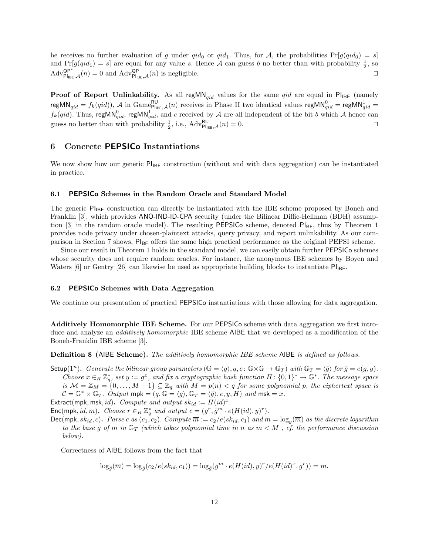he receives no further evaluation of g under  $qid_0$  or  $qid_1$ . Thus, for A, the probabilities  $Pr[g(qid_0) = s]$ and  $Pr[g(qid_1) = s]$  are equal for any value s. Hence A can guess b no better than with probability  $\frac{1}{2}$ , so  $\text{Adv}_{\text{Pl}_{\text{IBE}},\mathcal{A}}^{\text{QP}}(n) = 0$  and  $\text{Adv}_{\text{Pl}_{\text{IBE}},\mathcal{A}}^{\text{QP}}(n)$  is negligible.

**Proof of Report Unlinkability.** As all regMN<sub>qid</sub> values for the same qid are equal in PI<sub>IBE</sub> (namely reg $MN_{qid} = f_k(qid)$ ),  $\mathcal A$  in  $\text{Game}_{\text{Pl}_{\text{IBE}},\mathcal A}^{\text{RU}}(n)$  receives in Phase II two identical values reg $\textsf{MN}_{qid}^0 = \textsf{reg}\textsf{MN}_{qid}^1 =$  $f_k(qid)$ . Thus, regMN $_{qid}^0$ , regMN $_{qid}^1$ , and c received by A are all independent of the bit b which A hence can guess no better than with probability  $\frac{1}{2}$ , i.e.,  $\text{Adv}_{\text{Pl}_{\text{IBE}},\mathcal{A}}^{\text{RU}}(n) = 0$ .

# 6 Concrete PEPSICo Instantiations

We now show how our generic  $PI_{IBE}$  construction (without and with data aggregation) can be instantiated in practice.

#### <span id="page-11-0"></span>6.1 PEPSICo Schemes in the Random Oracle and Standard Model

The generic  $PI_{IBE}$  construction can directly be instantiated with the IBE scheme proposed by Boneh and Franklin [\[3\]](#page-17-0), which provides ANO-IND-ID-CPA security (under the Bilinear Diffie-Hellman (BDH) assump-tion [\[3\]](#page-17-0) in the random oracle model). The resulting PEPSICo scheme, denoted  $PI_{BF}$ , thus by Theorem [1](#page-10-0) provides node privacy under chosen-plaintext attacks, query privacy, and report unlinkability. As our com-parison in Section [7](#page-16-0) shows,  $PI_{BF}$  offers the same high practical performance as the original PEPSI scheme.

Since our result in Theorem [1](#page-10-0) holds in the standard model, we can easily obtain further PEPSICo schemes whose security does not require random oracles. For instance, the anonymous IBE schemes by Boyen and Waters [\[6\]](#page-18-19) or Gentry [\[26\]](#page-18-20) can likewise be used as appropriate building blocks to instantiate  $PI_{IBE}$ .

#### 6.2 PEPSICo Schemes with Data Aggregation

We continue our presentation of practical **PEPSIC** instantiations with those allowing for data aggregation.

Additively Homomorphic IBE Scheme. For our PEPSICo scheme with data aggregation we first introduce and analyze an additively homomorphic IBE scheme AIBE that we developed as a modification of the Boneh-Franklin IBE scheme [\[3\]](#page-17-0).

**Definition 8 (AIBE Scheme).** The additively homomorphic IBE scheme AIBE is defined as follows.

Setup(1<sup>n</sup>). Generate the bilinear group parameters ( $\mathbb{G} = \langle g \rangle, q, e: \mathbb{G} \times \mathbb{G} \to \mathbb{G}_T$ ) with  $\mathbb{G}_T = \langle \bar{g} \rangle$  for  $\bar{g} = e(g, g)$ . Choose  $x \in_R \mathbb{Z}_q^*$ , set  $y := g^x$ , and fix a cryptographic hash function  $H: \{0,1\}^* \to \mathbb{G}^*$ . The message space is  $M = \mathbb{Z}_M = \{0, \ldots, M-1\} \subseteq \mathbb{Z}_q$  with  $M = p(n) < q$  for some polynomial p, the ciphertext space is  $\mathcal{C} = \mathbb{G}^* \times \mathbb{G}_T$ . Output mpk =  $(q, \mathbb{G} = \langle g \rangle, \mathbb{G}_T = \langle \bar{g} \rangle, e, y, H)$  and msk = x.

$$
\textsf{Extract}(\textsf{mpk},\textsf{msk},id). \textit{Compute and output } sk_{id} := H(id)^x.
$$

Enc(mpk, id, m). Choose  $r \in_R \mathbb{Z}_q^*$  and output  $c = (g^r, \bar{g}^m \cdot e(H(id), y)^r)$ .

Dec(mpk,  $sk_{id}, c$ ). Parse c as  $(c_1, c_2)$ . Compute  $\overline{m} := c_2/e(sk_{id}, c_1)$  and  $m = \log_{\overline{g}}(\overline{m})$  as the discrete logarithm to the base  $\bar{g}$  of  $\bar{m}$  in  $\mathbb{G}_T$  (which takes polynomial time in n as  $m < M$ , cf. the performance discussion below).

Correctness of AIBE follows from the fact that

$$
\log_{\overline{g}}(\overline{m}) = \log_{\overline{g}}(c_2/e(sk_{id}, c_1)) = \log_{\overline{g}}(\overline{g}^m \cdot e(H(id), y)^r/e(H(id)^x, g^r)) = m.
$$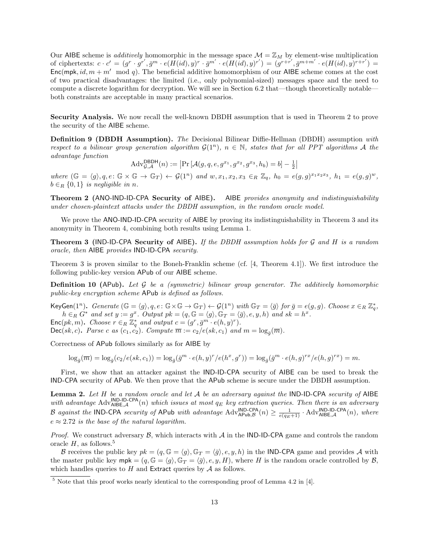Our AIBE scheme is *additively* homomorphic in the message space  $\mathcal{M} = \mathbb{Z}_M$  by element-wise multiplication of ciphertexts:  $c \cdot c' = (g^r \cdot g^{r'}, \bar{g}^m \cdot e(\bar{H}(id), y)^r \cdot \bar{g}^{m'} \cdot e(H(id), y)^{r'}) = (g^{r+r'}, \bar{g}^{m+m'} \cdot e(H(id), y)^{r+r'}) =$ Enc(mpk, id,  $m + m'$  mod q). The beneficial additive homomorphism of our AIBE scheme comes at the cost of two practical disadvantages: the limited (i.e., only polynomial-sized) messages space and the need to compute a discrete logarithm for decryption. We will see in Section [6.2](#page-14-0) that—though theoretically notable both constraints are acceptable in many practical scenarios.

Security Analysis. We now recall the well-known DBDH assumption that is used in Theorem [2](#page-12-0) to prove the security of the AIBE scheme.

Definition 9 (DBDH Assumption). The Decisional Bilinear Diffie-Hellman (DBDH) assumption with respect to a bilinear group generation algorithm  $\mathcal{G}(1^n)$ ,  $n \in \mathbb{N}$ , states that for all PPT algorithms A the advantage function

 $\mathrm{Adv}_{\mathcal{G},\mathcal{A}}^{\mathsf{DBDH}}(n) := \left| \Pr \left[ \mathcal{A}(g,q,e,g^{x_1},g^{x_2},g^{x_3},h_b) = b \right] - \frac{1}{2} \right|$ 

where  $(\mathbb{G} = \langle g \rangle, q, e: \mathbb{G} \times \mathbb{G} \to \mathbb{G}_T) \leftarrow \mathcal{G}(1^n)$  and  $w, x_1, x_2, x_3 \in_R \mathbb{Z}_q$ ,  $h_0 = e(g, g)^{x_1 x_2 x_3}, h_1 = e(g, g)^w$ ,  $b \in_R \{0,1\}$  is negligible in n.

<span id="page-12-0"></span>Theorem 2 (ANO-IND-ID-CPA Security of AIBE). AIBE provides anonymity and indistinguishability under chosen-plaintext attacks under the DBDH assumption, in the random oracle model.

We prove the ANO-IND-ID-CPA security of AIBE by proving its indistinguishability in Theorem [3](#page-12-1) and its anonymity in Theorem [4,](#page-13-0) combining both results using Lemma [1.](#page-9-2)

<span id="page-12-1"></span>**Theorem 3 (IND-ID-CPA Security of AIBE).** If the DBDH assumption holds for  $G$  and  $H$  is a random oracle, then AIBE provides IND-ID-CPA security.

Theorem [3](#page-12-1) is proven similar to the Boneh-Franklin scheme (cf. [\[4,](#page-18-21) Theorem 4.1]). We first introduce the following public-key version APub of our AIBE scheme.

**Definition 10 (APub).** Let  $\mathcal G$  be a (symmetric) bilinear group generator. The additively homomorphic public-key encryption scheme APub is defined as follows.

KeyGen $(1^n)$ . Generate  $(\mathbb{G} = \langle g \rangle, q, e: \mathbb{G} \times \mathbb{G} \to \mathbb{G}_T) \leftarrow \mathcal{G}(1^n)$  with  $\mathbb{G}_T = \langle \bar{g} \rangle$  for  $\bar{g} = e(g, g)$ . Choose  $x \in_R \mathbb{Z}_q^*$ ,  $h \in_R G^*$  and set  $y := g^x$ . Output  $pk = (q, \mathbb{G} = \langle g \rangle, \mathbb{G}_T = \langle \bar{g} \rangle, e, y, h)$  and  $sk = h^x$ .

 $\mathsf{Enc}(pk, m)$ . Choose  $r \in_R \mathbb{Z}_q^*$  and output  $c = (g^r, \bar{g}^m \cdot e(h, y)^r)$ .

 $Dec(sk, c)$ . Parse c as  $(c_1, c_2)$ . Compute  $\overline{m} := c_2/e(sk, c_1)$  and  $m = \log_{\overline{g}}(\overline{m})$ .

Correctness of APub follows similarly as for AIBE by

$$
\log_{\bar{g}}(\overline{m})=\log_{\bar{g}}(c_2/e(sk,c_1))=\log_{\bar{g}}(\bar{g}^m\cdot e(h,y)^r/e(h^x,g^r))=\log_{\bar{g}}(\bar{g}^m\cdot e(h,g)^{rx}/e(h,g)^{rx})=m.
$$

First, we show that an attacker against the IND-ID-CPA security of AIBE can be used to break the IND-CPA security of APub. We then prove that the APub scheme is secure under the DBDH assumption.

<span id="page-12-2"></span>**Lemma 2.** Let H be a random oracle and let A be an adversary against the IND-ID-CPA security of AIBE with advantage Adv $\text{Al}_\text{AIE}, \mathcal{A}$  (n) which issues at most  $q_E$  key extraction queries. Then there is an adversary B against the IND-CPA security of APub with advantage  $\text{Adv}_{\text{APub},\mathcal{B}}^{\text{IND-CPA}}(n) \ge \frac{1}{e(q_E+1)} \cdot \text{Adv}_{\text{AIBE},\mathcal{A}}^{\text{IND-ID-CPA}}(n)$ , where  $e \approx 2.72$  is the base of the natural logarithm.

*Proof.* We construct adversary  $\beta$ , which interacts with  $\mathcal A$  in the IND-ID-CPA game and controls the random oracle  $H$ , as follows.<sup>5</sup>

B receives the public key  $pk = (q, \mathbb{G} = \langle q \rangle, \mathbb{G}_T = \langle \bar{q} \rangle, e, y, h)$  in the IND-CPA game and provides A with the master public key  $mpk = (q, \mathbb{G} = \langle g \rangle, \mathbb{G}_T = \langle \bar{g} \rangle, e, y, H)$ , where H is the random oracle controlled by  $\mathcal{B}$ , which handles queries to  $H$  and Extract queries by  $A$  as follows.

<sup>&</sup>lt;sup>5</sup> Note that this proof works nearly identical to the corresponding proof of Lemma 4.2 in [\[4\]](#page-18-21).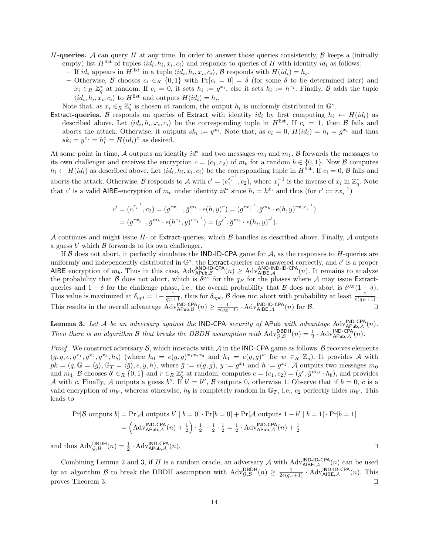- H-queries. A can query H at any time. In order to answer those queries consistently, B keeps a (initially empty) list  $H^{\text{list}}$  of tuples  $\langle id_i, h_i, x_i, c_i \rangle$  and responds to queries of H with identity  $id_i$  as follows:
	- If id<sub>i</sub> appears in H<sup>list</sup> in a tuple  $\langle id_i, h_i, x_i, c_i \rangle$ , B responds with  $H(id_i) = h_i$ .
	- Otherwise, B chooses  $c_i \in_R \{0,1\}$  with  $Pr[c_i = 0] = \delta$  (for some  $\delta$  to be determined later) and  $x_i \in_R \mathbb{Z}_q^*$  at random. If  $c_i = 0$ , it sets  $h_i := g^{x_i}$ , else it sets  $h_i := h^{x_i}$ . Finally,  $\mathcal{B}$  adds the tuple  $\langle id_i, h_i, x_i, c_i \rangle$  to  $H^{\text{list}}$  and outputs  $H(id_i) = h_i$ .

Note that, as  $x_i \in_R \mathbb{Z}_q^*$  is chosen at random, the output  $h_i$  is uniformly distributed in  $\mathbb{G}^*$ .

Extract-queries. B responds on queries of Extract with identity id<sub>i</sub> by first computing  $h_i \leftarrow H(id_i)$  as described above. Let  $\langle id_i, h_i, x_i, c_i \rangle$  be the corresponding tuple in  $H^{\text{list}}$ . If  $c_i = 1$ , then  $\beta$  fails and aborts the attack. Otherwise, it outputs  $sk_i := y^{x_i}$ . Note that, as  $c_i = 0$ ,  $H(id_i) = h_i = g^{x_i}$  and thus  $sk_i = y^{x_i} = h_i^x = H(id_i)^x$  as desired.

At some point in time, A outputs an identity  $id^*$  and two messages  $m_0$  and  $m_1$ . B forwards the messages to its own challenger and receives the encryption  $c = (c_1, c_2)$  of  $m_b$  for a random  $b \in \{0, 1\}$ . Now B computes  $h_i \leftarrow H(id_i)$  as described above. Let  $\langle id_i, h_i, x_i, c_i \rangle$  be the corresponding tuple in  $H^{\text{list}}$ . If  $c_i = 0, \mathcal{B}$  fails and aborts the attack. Otherwise, B responds to A with  $c' = (c_1^{x_i^{-1}}, c_2)$ , where  $x_i^{-1}$  is the inverse of  $x_i$  in  $\mathbb{Z}_q^*$ . Note that c' is a valid AIBE-encryption of  $m_b$  under identity  $id^*$  since  $h_i = h^{x_i}$  and thus (for  $r' := rx_i^{-1}$ )

$$
c' = (c_1^{x_i^{-1}}, c_2) = (g^{rx_i^{-1}}, \bar{g}^{m_b} \cdot e(h, y)^r) = (g^{rx_i^{-1}}, \bar{g}^{m_b} \cdot e(h, y)^{rx_i x_i^{-1}})
$$
  
=  $(g^{rx_i^{-1}}, \bar{g}^{m_b} \cdot e(h^{x_i}, y)^{rx_i^{-1}}) = (g^{r'}, \bar{g}^{m_b} \cdot e(h_i, y)^{r'}).$ 

A continues and might issue  $H$ - or Extract-queries, which  $B$  handles as described above. Finally, A outputs a guess  $b'$  which  $\beta$  forwards to its own challenger.

If  $\beta$  does not abort, it perfectly simulates the IND-ID-CPA game for  $\mathcal{A}$ , as the responses to H-queries are uniformly and independently distributed in  $\mathbb{G}^*$ , the Extract-queries are answered correctly, and  $c'$  is a proper AIBE encryption of  $m_b$ . Thus in this case,  $\text{Adv}_{\text{APub},\mathcal{B}}^{\text{ANO}-\text{ID-CPA}}(n) \geq \text{Adv}_{\text{AIE},\mathcal{A}}^{\text{ANO}-\text{IND-D-CPA}}(n)$ . It remains to analyze the probability that B does not abort, which is  $\delta^{q_E}$  for the  $q_E$  for the phases where A may issue Extractqueries and  $1 - \delta$  for the challenge phase, i.e., the overall probability that B does not abort is  $\delta^{q_E}(1 - \delta)$ . This value is maximized at  $\delta_{opt} = 1 - \frac{1}{q_E + 1}$ , thus for  $\delta_{opt}$ ,  $\beta$  does not abort with probability at least  $\frac{1}{e(q_E + 1)}$ . This results in the overall advantage  $\text{Adv}^{\text{IND-CPA}}_{\text{APub},\mathcal{B}}(n) \ge \frac{1}{e(q_E+1)} \cdot \text{Adv}^{\text{IND-ID-CPA}}_{\text{AIE},\mathcal{A}}(n)$  for  $\mathcal{B}$ .

<span id="page-13-1"></span>**Lemma 3.** Let A be an adversary against the IND-CPA security of APub with advantage  $\text{Adv}^{\text{IND-CPA}}_{\text{APub},\mathcal{A}}(n)$ . Then there is an algorithm B that breaks the DBDH assumption with  $\text{Adv}_{\mathcal{G},\mathcal{B}}^{\text{DBDH}}(n) = \frac{1}{2} \cdot \text{Adv}_{\text{APub},\mathcal{A}}^{\text{IND-CPA}}(n)$ .

*Proof.* We construct adversary  $\mathcal{B}$ , which interacts with  $\mathcal{A}$  in the IND-CPA game as follows.  $\mathcal{B}$  receives elements  $(g, q, e, g^{x_1}, g^{x_2}, g^{x_3}, h_b)$  (where  $h_0 = e(g, g)^{x_1x_2x_3}$  and  $h_1 = e(g, g)^w$  for  $w \in_R \mathbb{Z}_q$ ). It provides A with  $pk = (q, \mathbb{G} = \langle g \rangle, \mathbb{G}_T = \langle \bar{g} \rangle, e, y, h),$  where  $\bar{g} := e(g, g), y := g^{x_1}$  and  $h := g^{x_2}$ . A outputs two messages  $m_0$ and  $m_1$ . B chooses  $b' \in_R \{0,1\}$  and  $r \in_R \mathbb{Z}_q^*$  at random, computes  $c = (c_1, c_2) = (g^r, \bar{g}^{m_{b'}} \cdot h_b)$ , and provides A with c. Finally, A outputs a guess b''. If  $b' = b''$ , B outputs 0, otherwise 1. Observe that if  $b = 0$ , c is a valid encryption of  $m_{b'}$ , whereas otherwise,  $h_b$  is completely random in  $\mathbb{G}_T$ , i.e.,  $c_2$  perfectly hides  $m_{b'}$ . This leads to

$$
\Pr[\mathcal{B} \text{ outputs } b] = \Pr[\mathcal{A} \text{ outputs } b' \mid b = 0] \cdot \Pr[b = 0] + \Pr[\mathcal{A} \text{ outputs } 1 - b' \mid b = 1] \cdot \Pr[b = 1]
$$

$$
= \left(\text{Adv}_{\mathsf{APub},\mathcal{A}}^{\mathsf{IND}\text{-}\mathsf{CPA}}(n) + \frac{1}{2}\right) \cdot \frac{1}{2} + \frac{1}{2} \cdot \frac{1}{2} = \frac{1}{2} \cdot \text{Adv}_{\mathsf{APub},\mathcal{A}}^{\mathsf{IND}\text{-}\mathsf{CPA}}(n) + \frac{1}{2}
$$

and thus  $\text{Adv}_{\mathcal{G},\mathcal{B}}^{\text{DBDH}}(n) = \frac{1}{2} \cdot \text{Adv}_{\text{APub},\mathcal{A}}^{\text{IND-CPA}}(n).$ 

<span id="page-13-0"></span>Combining Lemma [2](#page-12-2) and [3,](#page-13-1) if H is a random oracle, an adversary A with  $\text{Adv}_{\text{AIE},\mathcal{A}}^{\text{IND-ID-CPA}}(n)$  can be used by an algorithm B to break the DBDH assumption with  $\text{Adv}_{\mathcal{G},\mathcal{B}}^{\text{DBDH}}(n) \geq \frac{1}{2e(q_E+1)} \cdot \text{Adv}_{\text{AIBE},\mathcal{A}}^{\text{IND-ID-CPA}}(n)$ . This proves Theorem [3.](#page-12-1)  $\Box$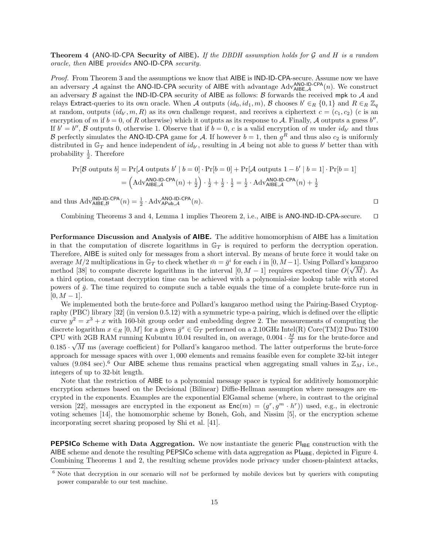**Theorem 4 (ANO-ID-CPA Security of AIBE).** If the DBDH assumption holds for  $G$  and H is a random oracle, then AIBE provides ANO-ID-CPA security.

Proof. From Theorem [3](#page-12-1) and the assumptions we know that AIBE is IND-ID-CPA-secure. Assume now we have an adversary A against the ANO-ID-CPA security of AIBE with advantage  $Adv_{A IBE, A}^{ANO-ID-CPA}(n)$ . We construct an adversary  $\beta$  against the IND-ID-CPA security of AIBE as follows:  $\beta$  forwards the received mpk to  $\mathcal A$  and relays Extract-queries to its own oracle. When A outputs  $(id_0, id_1, m)$ , B chooses  $b' \in_R \{0, 1\}$  and  $R \in_R \mathbb{Z}_q$ at random, outputs  $(id_{b'}, m, R)$  as its own challenge request, and receives a ciphertext  $c = (c_1, c_2)$  (c is an encryption of m if  $b = 0$ , of R otherwise) which it outputs as its response to A. Finally, A outputs a guess b''. If  $b' = b''$ , B outputs 0, otherwise 1. Observe that if  $b = 0$ , c is a valid encryption of m under  $id_{b'}$  and thus B perfectly simulates the ANO-ID-CPA game for A. If however  $b = 1$ , then  $g<sup>R</sup>$  and thus also  $c<sub>2</sub>$  is uniformly distributed in  $\mathbb{G}_T$  and hence independent of  $id_{b'}$ , resulting in A being not able to guess b' better than with probability  $\frac{1}{2}$ . Therefore

$$
\Pr[\mathcal{B} \text{ outputs } b] = \Pr[\mathcal{A} \text{ outputs } b' \mid b = 0] \cdot \Pr[b = 0] + \Pr[\mathcal{A} \text{ outputs } 1 - b' \mid b = 1] \cdot \Pr[b = 1]
$$

$$
= \left(\text{Adv}_{\text{AIBE}, \mathcal{A}}^{\text{ANO-ID-CPA}}(n) + \frac{1}{2}\right) \cdot \frac{1}{2} + \frac{1}{2} \cdot \frac{1}{2} = \frac{1}{2} \cdot \text{Adv}_{\text{AIBE}, \mathcal{A}}^{\text{ANO-ID-CPA}}(n) + \frac{1}{2}
$$

and thus  $Adv_{\mathsf{AIBE},\mathcal{B}}^{\mathsf{IND}\text{-}\mathsf{ID}\text{-}\mathsf{CPA}}(n) = \frac{1}{2} \cdot \mathrm{Adv}_{\mathsf{APub},\mathcal{A}}^{\mathsf{ANO}\text{-}\mathsf{ID}\text{-}\mathsf{CPA}}(n).$ 

Combining Theorems [3](#page-12-1) and [4,](#page-13-0) Lemma [1](#page-9-2) implies Theorem [2,](#page-12-0) i.e., AIBE is ANO-IND-ID-CPA-secure.  $\square$ 

<span id="page-14-0"></span>Performance Discussion and Analysis of AIBE. The additive homomorphism of AIBE has a limitation in that the computation of discrete logarithms in  $\mathbb{G}_T$  is required to perform the decryption operation. Therefore, AIBE is suited only for messages from a short interval. By means of brute force it would take on average  $M/2$  multiplications in  $\mathbb{G}_T$  to check whether  $\bar{m} = \bar{g}^i$  for each i in  $[0, M-1]$ . Using Pollard's kangaroo method [\[38\]](#page-19-9) to compute discrete logarithms in the interval  $[0, M - 1]$  requires expected time  $O(\sqrt{M})$ . As a third option, constant decryption time can be achieved with a polynomial-size lookup table with stored powers of  $\bar{g}$ . The time required to compute such a table equals the time of a complete brute-force run in  $[0, M - 1].$ 

We implemented both the brute-force and Pollard's kangaroo method using the Pairing-Based Cryptography (PBC) library [\[32\]](#page-18-22) (in version 0.5.12) with a symmetric type-a pairing, which is defined over the elliptic curve  $y^2 = x^3 + x$  with 160-bit group order and embedding degree 2. The measurements of computing the discrete logarithm  $x \in_R [0, M]$  for a given  $\bar{g}^x \in \mathbb{G}_T$  performed on a 2.10GHz Intel(R) Core(TM)2 Duo T8100 CPU with 2GB RAM running Kubuntu 10.04 resulted in, on average,  $0.004 \cdot \frac{M}{2}$  ms for the brute-force and  $0.185 \cdot \sqrt{M}$  ms (average coefficient) for Pollard's kangaroo method. The latter outperforms the brute-force approach for message spaces with over 1, 000 elements and remains feasible even for complete 32-bit integer values (9.084 sec).<sup>6</sup> Our AIBE scheme thus remains practical when aggregating small values in  $\mathbb{Z}_M$ , i.e., integers of up to 32-bit length.

Note that the restriction of AIBE to a polynomial message space is typical for additively homomorphic encryption schemes based on the Decisional (Bilinear) Diffie-Hellman assumption where messages are encrypted in the exponents. Examples are the exponential ElGamal scheme (where, in contrast to the original version [\[22\]](#page-18-23), messages are encrypted in the exponent as  $\text{Enc}(m) = (g^r, g^m \cdot h^r)$  used, e.g., in electronic voting schemes [\[14\]](#page-18-24), the homomorphic scheme by Boneh, Goh, and Nissim [\[5\]](#page-18-25), or the encryption scheme incorporating secret sharing proposed by Shi et al. [\[41\]](#page-19-10).

<span id="page-14-1"></span>**PEPSICo Scheme with Data Aggregation.** We now instantiate the generic  $PI_{IBE}$  construction with the AIBE scheme and denote the resulting PEPSICo scheme with data aggregation as Pl<sub>AIBE</sub>, depicted in Figure [4.](#page-15-0) Combining Theorems [1](#page-10-0) and [2,](#page-12-0) the resulting scheme provides node privacy under chosen-plaintext attacks,

 $6$  Note that decryption in our scenario will not be performed by mobile devices but by queriers with computing power comparable to our test machine.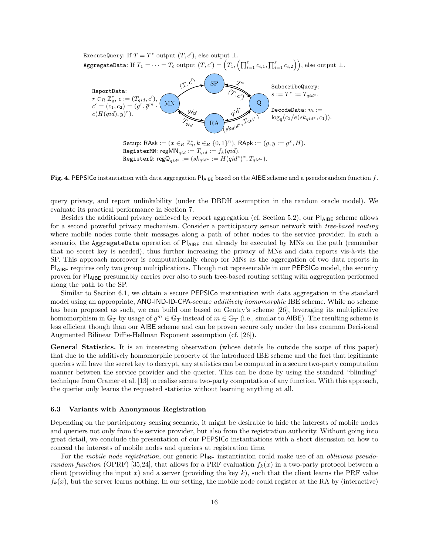ExecuteQuery: If  $T = T^*$  output  $(T, c'),$  else output  $\bot$ .  $\texttt{AggregateData: If } T_1 = \cdots = T_\ell \text{ output } (T, c') = \left(T_1, \left(\prod_{i=1}^\ell c_{i,1}, \prod_{i=1}^\ell c_{i,2}\right)\right)\text{, else output } \bot.$ 



<span id="page-15-0"></span>Fig. 4. PEPSICo instantiation with data aggregation  $PI_{AIBE}$  based on the AIBE scheme and a pseudorandom function f.

query privacy, and report unlinkability (under the DBDH assumption in the random oracle model). We evaluate its practical performance in Section [7.](#page-16-0)

Besides the additional privacy achieved by report aggregation (cf. Section [5.2\)](#page-10-1), our  $PI_{AIBE}$  scheme allows for a second powerful privacy mechanism. Consider a participatory sensor network with *tree-based routing* where mobile nodes route their messages along a path of other nodes to the service provider. In such a scenario, the AggregateData operation of  $PI_{AIBE}$  can already be executed by MNs on the path (remember that no secret key is needed), thus further increasing the privacy of MNs and data reports vis-à-vis the SP. This approach moreover is computationally cheap for MNs as the aggregation of two data reports in Pl<sub>AIBE</sub> requires only two group multiplications. Though not representable in our PEPSICo model, the security proven for PIAIBE presumably carries over also to such tree-based routing setting with aggregation performed along the path to the SP.

Similar to Section [6.1,](#page-11-0) we obtain a secure PEPSICo instantiation with data aggregation in the standard model using an appropriate, ANO-IND-ID-CPA-secure *additively homomorphic* IBE scheme. While no scheme has been proposed as such, we can build one based on Gentry's scheme [\[26\]](#page-18-20), leveraging its multiplicative homomorphism in  $\mathbb{G}_T$  by usage of  $g^m \in \mathbb{G}_T$  instead of  $m \in \mathbb{G}_T$  (i.e., similar to AIBE). The resulting scheme is less efficient though than our AIBE scheme and can be proven secure only under the less common Decisional Augmented Bilinear Diffie-Hellman Exponent assumption (cf. [\[26\]](#page-18-20)).

General Statistics. It is an interesting observation (whose details lie outside the scope of this paper) that due to the additively homomorphic property of the introduced IBE scheme and the fact that legitimate queriers will have the secret key to decrypt, any statistics can be computed in a secure two-party computation manner between the service provider and the querier. This can be done by using the standard "blinding" technique from Cramer et al. [\[13\]](#page-18-26) to realize secure two-party computation of any function. With this approach, the querier only learns the requested statistics without learning anything at all.

### 6.3 Variants with Anonymous Registration

Depending on the participatory sensing scenario, it might be desirable to hide the interests of mobile nodes and queriers not only from the service provider, but also from the registration authority. Without going into great detail, we conclude the presentation of our PEPSICo instantiations with a short discussion on how to conceal the interests of mobile nodes and queriers at registration time.

For the mobile node registration, our generic  $PI_{IBE}$  instantiation could make use of an *oblivious pseudo-*random function (OPRF) [\[35](#page-19-11)[,24\]](#page-18-27), that allows for a PRF evaluation  $f_k(x)$  in a two-party protocol between a client (providing the input x) and a server (providing the key k), such that the client learns the PRF value  $f_k(x)$ , but the server learns nothing. In our setting, the mobile node could register at the RA by (interactive)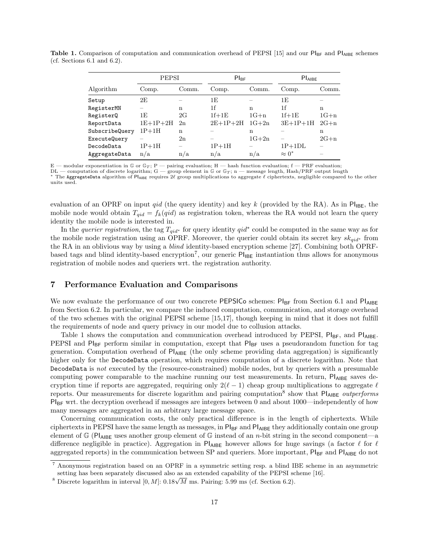<span id="page-16-1"></span>

|                | PEPSI      |       | $PI_{BF}$  |         | $PI_{AIBE}$   |        |
|----------------|------------|-------|------------|---------|---------------|--------|
| Algorithm      | Comp.      | Comm. | Comp.      | Comm.   | Comp.         | Comm.  |
| Setup          | 2E         |       | 1E         |         | 1E            |        |
| RegisterMN     |            | n     | 1f         | n       | 1f            | n      |
| RegisterQ      | 1E         | 2G    | $1f+1E$    | $1G+n$  | $1f+1E$       | $1G+n$ |
| ReportData     | $1E+1P+2H$ | 2n    | $2E+1P+2H$ | $1G+2n$ | $3E+1P+1H$    | $2G+n$ |
| SubscribeQuery | $1P+1H$    | n     |            | n       |               | n      |
| ExecuteQuery   |            | 2n    |            | $1G+2n$ |               | $2G+n$ |
| DecodeData     | $1P+1H$    | -     | $1P+1H$    |         | $1P+1DL$      |        |
| AggregateData  | n/a        | n/a   | n/a        | n/a     | $\approx 0^*$ |        |

**Table 1.** Comparison of computation and communication overhead of PEPSI [\[15\]](#page-18-6) and our  $PI_{BF}$  and  $PI_{A|BE}$  schemes (cf. Sections [6.1](#page-11-0) and [6.2\)](#page-14-1).

E — modular exponentiation in  $\mathbb{G}$  or  $\mathbb{G}_T$ ; P — pairing evaluation; H — hash function evaluation; f — PRF evaluation;<br>DL — computation of discrete logarithm; G — group element in  $\mathbb{G}$  or  $\mathbb{G}_T$ ; n — messag units used.

evaluation of an OPRF on input qid (the query identity) and key k (provided by the RA). As in  $PI_{\text{IBE}}$ , the mobile node would obtain  $T_{qid} = f_k(qid)$  as registration token, whereas the RA would not learn the query identity the mobile node is interested in.

In the *querier registration*, the tag  $T_{qid*}$  for query identity  $qid*$  could be computed in the same way as for the mobile node registration using an OPRF. Moreover, the querier could obtain its secret key  $sk_{qid*}$  from the RA in an oblivious way by using a blind identity-based encryption scheme [\[27\]](#page-18-28). Combining both OPRFbased tags and blind identity-based encryption<sup>7</sup>, our generic  $PI_{IBE}$  instantiation thus allows for anonymous registration of mobile nodes and queriers wrt. the registration authority.

# <span id="page-16-0"></span>7 Performance Evaluation and Comparisons

We now evaluate the performance of our two concrete PEPSICo schemes:  $PI_{BF}$  from Section [6.1](#page-11-0) and  $PI_{AIBE}$ from Section [6.2.](#page-14-1) In particular, we compare the induced computation, communication, and storage overhead of the two schemes with the original PEPSI scheme [\[15,](#page-18-6)[17\]](#page-18-7), though keeping in mind that it does not fulfill the requirements of node and query privacy in our model due to collusion attacks.

Table [1](#page-16-1) shows the computation and communication overhead introduced by PEPSI,  $PI_{B}F$ , and  $PI_{A|BE}$ . PEPSI and  $PI_{BF}$  perform similar in computation, except that  $PI_{BF}$  uses a pseudorandom function for tag generation. Computation overhead of  $PI_{AIBE}$  (the only scheme providing data aggregation) is significantly higher only for the DecodeData operation, which requires computation of a discrete logarithm. Note that DecodeData is not executed by the (resource-constrained) mobile nodes, but by queriers with a presumable computing power comparable to the machine running our test measurements. In return,  $PI_{AIBE}$  saves decryption time if reports are aggregated, requiring only  $2(\ell - 1)$  cheap group multiplications to aggregate  $\ell$ reports. Our measurements for discrete logarithm and pairing computation<sup>8</sup> show that Pl<sub>AIBE</sub> outperforms  $PI_{BF}$  wrt. the decryption overhead if messages are integers between 0 and about 1000—independently of how many messages are aggregated in an arbitrary large message space.

Concerning communication costs, the only practical difference is in the length of ciphertexts. While ciphertexts in PEPSI have the same length as messages, in  $PI_{BF}$  and  $PI_{AIBE}$  they additionally contain one group element of G (Pl<sub>AIBE</sub> uses another group element of G instead of an n-bit string in the second component—a difference negligible in practice). Aggregation in PI<sub>AIBE</sub> however allows for huge savings (a factor  $\ell$  for  $\ell$ aggregated reports) in the communication between SP and queriers. More important,  $PI_{BF}$  and  $PI_{AIBE}$  do not

<sup>7</sup> Anonymous registration based on an OPRF in a symmetric setting resp. a blind IBE scheme in an asymmetric setting has been separately discussed also as an extended capability of the PEPSI scheme [\[16\]](#page-18-8).

setting has been separately discussed also as an extended capability of the FEF SI set  $^8$  Discrete logarithm in interval  $[0, M]$ :  $0.18\sqrt{M}$  ms. Pairing: 5.99 ms (cf. Section [6.2\)](#page-14-0).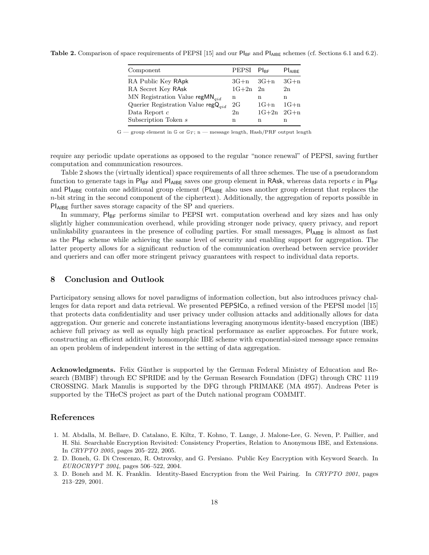<span id="page-17-3"></span>Table 2. Comparison of space requirements of PEPSI [\[15\]](#page-18-6) and our  $PI_{BF}$  and  $PI_{A|BE}$  schemes (cf. Sections [6.1](#page-11-0) and [6.2\)](#page-14-1).

| Component                               | PEPSI Pl <sub>re</sub> |                | $PI_{AIBF}$ |
|-----------------------------------------|------------------------|----------------|-------------|
| RA Public Key RApk                      | $3G+n$ $3G+n$          |                | $3G+n$      |
| RA Secret Key RAsk                      | $1G+2n$ 2n             |                | 2n          |
| MN Registration Value regMN $_{qid}$    | n                      | n              | n           |
| Querier Registration Value $regQ_{aid}$ | 2G                     | $1G+n$         | $1G+n$      |
| Data Report $c$                         | 2n                     | $1G+2n$ $2G+n$ |             |
| Subscription Token s                    | n                      | n              | n           |

G — group element in G or  $\mathbb{G}_T$ ; n — message length, Hash/PRF output length

require any periodic update operations as opposed to the regular "nonce renewal" of PEPSI, saving further computation and communication resources.

Table [2](#page-17-3) shows the (virtually identical) space requirements of all three schemes. The use of a pseudorandom function to generate tags in  $PI_{BF}$  and  $PI_{AIBE}$  saves one group element in RAsk, whereas data reports c in  $PI_{BF}$ and  $PI_{AIBE}$  contain one additional group element ( $PI_{AIBE}$  also uses another group element that replaces the n-bit string in the second component of the ciphertext). Additionally, the aggregation of reports possible in Pl<sub>AIBE</sub> further saves storage capacity of the SP and queriers.

In summary,  $PI_{BF}$  performs similar to PEPSI wrt. computation overhead and key sizes and has only slightly higher communication overhead, while providing stronger node privacy, query privacy, and report unlinkability guarantees in the presence of colluding parties. For small messages,  $PI_{A|BE}$  is almost as fast as the  $PI_{BF}$  scheme while achieving the same level of security and enabling support for aggregation. The latter property allows for a significant reduction of the communication overhead between service provider and queriers and can offer more stringent privacy guarantees with respect to individual data reports.

## 8 Conclusion and Outlook

Participatory sensing allows for novel paradigms of information collection, but also introduces privacy challenges for data report and data retrieval. We presented PEPSICo, a refined version of the PEPSI model [\[15\]](#page-18-6) that protects data confidentiality and user privacy under collusion attacks and additionally allows for data aggregation. Our generic and concrete instantiations leveraging anonymous identity-based encryption (IBE) achieve full privacy as well as equally high practical performance as earlier approaches. For future work, constructing an efficient additively homomorphic IBE scheme with exponential-sized message space remains an open problem of independent interest in the setting of data aggregation.

Acknowledgments. Felix Günther is supported by the German Federal Ministry of Education and Research (BMBF) through EC SPRIDE and by the German Research Foundation (DFG) through CRC 1119 CROSSING. Mark Manulis is supported by the DFG through PRIMAKE (MA 4957). Andreas Peter is supported by the THeCS project as part of the Dutch national program COMMIT.

## References

- <span id="page-17-2"></span>1. M. Abdalla, M. Bellare, D. Catalano, E. Kiltz, T. Kohno, T. Lange, J. Malone-Lee, G. Neven, P. Paillier, and H. Shi. Searchable Encryption Revisited: Consistency Properties, Relation to Anonymous IBE, and Extensions. In CRYPTO 2005, pages 205–222, 2005.
- <span id="page-17-1"></span>2. D. Boneh, G. Di Crescenzo, R. Ostrovsky, and G. Persiano. Public Key Encryption with Keyword Search. In EUROCRYPT 2004, pages 506–522, 2004.
- <span id="page-17-0"></span>3. D. Boneh and M. K. Franklin. Identity-Based Encryption from the Weil Pairing. In CRYPTO 2001, pages 213–229, 2001.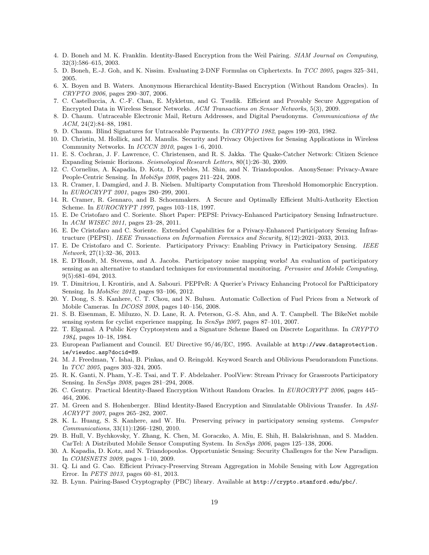- <span id="page-18-21"></span>4. D. Boneh and M. K. Franklin. Identity-Based Encryption from the Weil Pairing. SIAM Journal on Computing, 32(3):586–615, 2003.
- <span id="page-18-25"></span>5. D. Boneh, E.-J. Goh, and K. Nissim. Evaluating 2-DNF Formulas on Ciphertexts. In TCC 2005, pages 325–341, 2005.
- <span id="page-18-19"></span>6. X. Boyen and B. Waters. Anonymous Hierarchical Identity-Based Encryption (Without Random Oracles). In CRYPTO 2006, pages 290–307, 2006.
- <span id="page-18-16"></span>7. C. Castelluccia, A. C.-F. Chan, E. Mykletun, and G. Tsudik. Efficient and Provably Secure Aggregation of Encrypted Data in Wireless Sensor Networks. ACM Transactions on Sensor Networks, 5(3), 2009.
- <span id="page-18-12"></span>8. D. Chaum. Untraceable Electronic Mail, Return Addresses, and Digital Pseudonyms. Communications of the ACM, 24(2):84–88, 1981.
- <span id="page-18-15"></span>9. D. Chaum. Blind Signatures for Untraceable Payments. In CRYPTO 1982, pages 199–203, 1982.
- <span id="page-18-10"></span>10. D. Christin, M. Hollick, and M. Manulis. Security and Privacy Objectives for Sensing Applications in Wireless Community Networks. In ICCCN 2010, pages 1–6, 2010.
- <span id="page-18-2"></span>11. E. S. Cochran, J. F. Lawrence, C. Christensen, and R. S. Jakka. The Quake-Catcher Network: Citizen Science Expanding Seismic Horizons. Seismological Research Letters, 80(1):26–30, 2009.
- <span id="page-18-11"></span>12. C. Cornelius, A. Kapadia, D. Kotz, D. Peebles, M. Shin, and N. Triandopoulos. AnonySense: Privacy-Aware People-Centric Sensing. In MobiSys 2008, pages 211–224, 2008.
- <span id="page-18-26"></span>13. R. Cramer, I. Damgård, and J. B. Nielsen. Multiparty Computation from Threshold Homomorphic Encryption. In EUROCRYPT 2001, pages 280–299, 2001.
- <span id="page-18-24"></span>14. R. Cramer, R. Gennaro, and B. Schoenmakers. A Secure and Optimally Efficient Multi-Authority Election Scheme. In EUROCRYPT 1997, pages 103–118, 1997.
- <span id="page-18-6"></span>15. E. De Cristofaro and C. Soriente. Short Paper: PEPSI: Privacy-Enhanced Participatory Sensing Infrastructure. In ACM WISEC 2011, pages 23–28, 2011.
- <span id="page-18-8"></span>16. E. De Cristofaro and C. Soriente. Extended Capabilities for a Privacy-Enhanced Participatory Sensing Infrastructure (PEPSI). IEEE Transactions on Information Forensics and Security, 8(12):2021–2033, 2013.
- <span id="page-18-7"></span>17. E. De Cristofaro and C. Soriente. Participatory Privacy: Enabling Privacy in Participatory Sensing. IEEE Network, 27(1):32–36, 2013.
- <span id="page-18-1"></span>18. E. D'Hondt, M. Stevens, and A. Jacobs. Participatory noise mapping works! An evaluation of participatory sensing as an alternative to standard techniques for environmental monitoring. Pervasive and Mobile Computing, 9(5):681–694, 2013.
- <span id="page-18-14"></span>19. T. Dimitriou, I. Krontiris, and A. Sabouri. PEPPeR: A Querier's Privacy Enhancing Protocol for PaRticipatory Sensing. In MobiSec 2012, pages 93–106, 2012.
- <span id="page-18-4"></span>20. Y. Dong, S. S. Kanhere, C. T. Chou, and N. Bulusu. Automatic Collection of Fuel Prices from a Network of Mobile Cameras. In DCOSS 2008, pages 140–156, 2008.
- <span id="page-18-3"></span>21. S. B. Eisenman, E. Miluzzo, N. D. Lane, R. A. Peterson, G.-S. Ahn, and A. T. Campbell. The BikeNet mobile sensing system for cyclist experience mapping. In SenSys 2007, pages 87–101, 2007.
- <span id="page-18-23"></span>22. T. Elgamal. A Public Key Cryptosystem and a Signature Scheme Based on Discrete Logarithms. In CRYPTO 1984, pages 10–18, 1984.
- <span id="page-18-5"></span>23. European Parliament and Council. EU Directive 95/46/EC, 1995. Available at [http://www.dataprotection.](http://www.dataprotection.ie/viewdoc.asp?docid=89) [ie/viewdoc.asp?docid=89](http://www.dataprotection.ie/viewdoc.asp?docid=89).
- <span id="page-18-27"></span>24. M. J. Freedman, Y. Ishai, B. Pinkas, and O. Reingold. Keyword Search and Oblivious Pseudorandom Functions. In TCC 2005, pages 303–324, 2005.
- <span id="page-18-17"></span>25. R. K. Ganti, N. Pham, Y.-E. Tsai, and T. F. Abdelzaher. PoolView: Stream Privacy for Grassroots Participatory Sensing. In SenSys 2008, pages 281–294, 2008.
- <span id="page-18-20"></span>26. C. Gentry. Practical Identity-Based Encryption Without Random Oracles. In EUROCRYPT 2006, pages 445– 464, 2006.
- <span id="page-18-28"></span>27. M. Green and S. Hohenberger. Blind Identity-Based Encryption and Simulatable Oblivious Transfer. In ASI-ACRYPT 2007, pages 265–282, 2007.
- <span id="page-18-13"></span>28. K. L. Huang, S. S. Kanhere, and W. Hu. Preserving privacy in participatory sensing systems. Computer Communications, 33(11):1266–1280, 2010.
- <span id="page-18-0"></span>29. B. Hull, V. Bychkovsky, Y. Zhang, K. Chen, M. Goraczko, A. Miu, E. Shih, H. Balakrishnan, and S. Madden. CarTel: A Distributed Mobile Sensor Computing System. In SenSys 2006, pages 125–138, 2006.
- <span id="page-18-9"></span>30. A. Kapadia, D. Kotz, and N. Triandopoulos. Opportunistic Sensing: Security Challenges for the New Paradigm. In COMSNETS 2009, pages 1–10, 2009.
- <span id="page-18-18"></span>31. Q. Li and G. Cao. Efficient Privacy-Preserving Stream Aggregation in Mobile Sensing with Low Aggregation Error. In PETS 2013, pages 60–81, 2013.
- <span id="page-18-22"></span>32. B. Lynn. Pairing-Based Cryptography (PBC) library. Available at <http://crypto.stanford.edu/pbc/>.